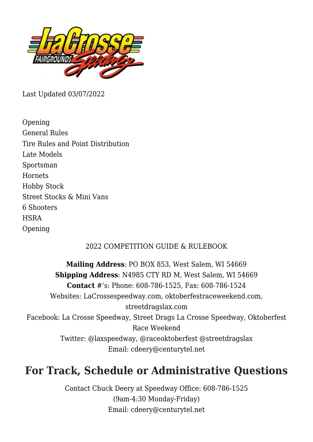

Last Updated 03/07/2022

Opening General Rules Tire Rules and Point Distribution Late Models Sportsman **Hornets** Hobby Stock Street Stocks & Mini Vans 6 Shooters **HSRA** Opening

## 2022 COMPETITION GUIDE & RULEBOOK

**Mailing Address**: PO BOX 853, West Salem, WI 54669 **Shipping Address**: N4985 CTY RD M, West Salem, WI 54669 **Contact** #'s: Phone: 608-786-1525, Fax: 608-786-1524 Websites: [LaCrossespeedway.com,](https://LaCrossespeedway.com) [oktoberfestraceweekend.com](https://oktoberfestraceweekend.com), [streetdragslax.com](https://streetdragslax.com) Facebook: [La Crosse Speedway,](https://www.facebook.com/LaxSpeedway/) [Street Drags La Crosse Speedway,](https://www.facebook.com/StreetDragsLax/) [Oktoberfest](https://www.facebook.com/RaceOktoberfest/) [Race Weekend](https://www.facebook.com/RaceOktoberfest/) Twitter: @laxspeedway, @raceoktoberfest @streetdragslax Email: cdeery@centurytel.net

# **For Track, Schedule or Administrative Questions**

Contact Chuck Deery at Speedway Office: 608-786-1525 (9am-4:30 Monday-Friday) Email: cdeery@centurytel.net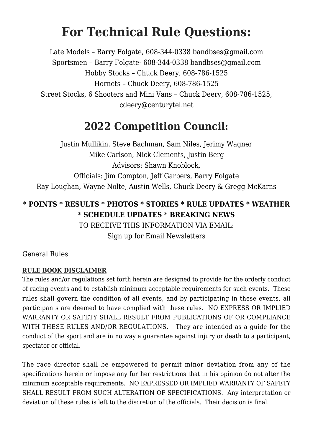# **For Technical Rule Questions:**

Late Models – Barry Folgate, 608-344-0338 bandbses@gmail.com Sportsmen – Barry Folgate- 608-344-0338 bandbses@gmail.com Hobby Stocks – Chuck Deery, 608-786-1525 Hornets – Chuck Deery, 608-786-1525 Street Stocks, 6 Shooters and Mini Vans – Chuck Deery, 608-786-1525, cdeery@centurytel.net

# **2022 Competition Council:**

Justin Mullikin, Steve Bachman, Sam Niles, Jerimy Wagner Mike Carlson, Nick Clements, Justin Berg Advisors: Shawn Knoblock, Officials: Jim Compton, Jeff Garbers, Barry Folgate Ray Loughan, Wayne Nolte, Austin Wells, Chuck Deery & Gregg McKarns

# **\* POINTS \* RESULTS \* PHOTOS \* STORIES \* RULE UPDATES \* WEATHER \* SCHEDULE UPDATES \* BREAKING NEWS**

TO RECEIVE THIS INFORMATION VIA EMAIL: [Sign up for Email Newsletters](https://lacrossespeedway.com/sign-up/)

General Rules

## **RULE BOOK DISCLAIMER**

The rules and/or regulations set forth herein are designed to provide for the orderly conduct of racing events and to establish minimum acceptable requirements for such events. These rules shall govern the condition of all events, and by participating in these events, all participants are deemed to have complied with these rules. NO EXPRESS OR IMPLIED WARRANTY OR SAFETY SHALL RESULT FROM PUBLICATIONS OF OR COMPLIANCE WITH THESE RULES AND/OR REGULATIONS. They are intended as a guide for the conduct of the sport and are in no way a guarantee against injury or death to a participant, spectator or official.

The race director shall be empowered to permit minor deviation from any of the specifications herein or impose any further restrictions that in his opinion do not alter the minimum acceptable requirements. NO EXPRESSED OR IMPLIED WARRANTY OF SAFETY SHALL RESULT FROM SUCH ALTERATION OF SPECIFICATIONS. Any interpretation or deviation of these rules is left to the discretion of the officials. Their decision is final.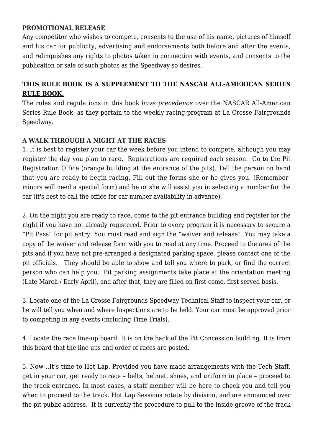#### **PROMOTIONAL RELEASE**

Any competitor who wishes to compete, consents to the use of his name, pictures of himself and his car for publicity, advertising and endorsements both before and after the events, and relinquishes any rights to photos taken in connection with events, and consents to the publication or sale of such photos as the Speedway so desires.

## **THIS RULE BOOK IS A SUPPLEMENT TO THE NASCAR ALL-AMERICAN SERIES RULE BOOK.**

The rules and regulations in this book *have precedence* over the NASCAR All-American Series Rule Book, as they pertain to the weekly racing program at La Crosse Fairgrounds Speedway.

## **A WALK THROUGH A NIGHT AT THE RACES**

1. It is best to register your car the week before you intend to compete, although you may register the day you plan to race. Registrations are required each season. Go to the Pit Registration Office (orange building at the entrance of the pits). Tell the person on hand that you are ready to begin racing. Fill out the forms she or he gives you. (Rememberminors will need a special form) and he or she will assist you in selecting a number for the car (it's best to call the office for car number availability in advance).

2. On the night you are ready to race, come to the pit entrance building and register for the night if you have not already registered. Prior to every program it is necessary to secure a "Pit Pass" for pit entry. You must read and sign the "waiver and release". You may take a copy of the waiver and release form with you to read at any time. Proceed to the area of the pits and if you have not pre-arranged a designated parking space, please contact one of the pit officials. They should be able to show and tell you where to park, or find the correct person who can help you. Pit parking assignments take place at the orientation meeting (Late March / Early April), and after that, they are filled on first-come, first served basis.

3. Locate one of the La Crosse Fairgrounds Speedway Technical Staff to inspect your car, or he will tell you when and where Inspections are to be held. Your car must be approved prior to competing in any events (including Time Trials).

4. Locate the race line-up board. It is on the back of the Pit Concession building. It is from this board that the line-ups and order of races are posted.

5. Now-..It's time to Hot Lap. Provided you have made arrangements with the Tech Staff, get in your car, get ready to race – belts, helmet, shoes, and uniform in place – proceed to the track entrance. In most cases, a staff member will be here to check you and tell you when to proceed to the track. Hot Lap Sessions rotate by division, and are announced over the pit public address. It is currently the procedure to pull to the inside groove of the track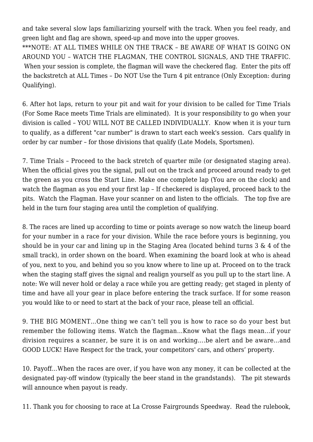and take several slow laps familiarizing yourself with the track. When you feel ready, and green light and flag are shown, speed-up and move into the upper grooves. \*\*\*NOTE: AT ALL TIMES WHILE ON THE TRACK – BE AWARE OF WHAT IS GOING ON AROUND YOU – WATCH THE FLAGMAN, THE CONTROL SIGNALS, AND THE TRAFFIC. When your session is complete, the flagman will wave the checkered flag. Enter the pits off the backstretch at ALL Times – Do NOT Use the Turn 4 pit entrance (Only Exception: during Qualifying).

6. After hot laps, return to your pit and wait for your division to be called for Time Trials (For Some Race meets Time Trials are eliminated). It is your responsibility to go when your division is called – YOU WILL NOT BE CALLED INDIVIDUALLY. Know when it is your turn to qualify, as a different "car number" is drawn to start each week's session. Cars qualify in order by car number – for those divisions that qualify (Late Models, Sportsmen).

7. Time Trials – Proceed to the back stretch of quarter mile (or designated staging area). When the official gives you the signal, pull out on the track and proceed around ready to get the green as you cross the Start Line. Make one complete lap (You are on the clock) and watch the flagman as you end your first lap – If checkered is displayed, proceed back to the pits. Watch the Flagman. Have your scanner on and listen to the officials. The top five are held in the turn four staging area until the completion of qualifying.

8. The races are lined up according to time or points average so now watch the lineup board for your number in a race for your division. While the race before yours is beginning, you should be in your car and lining up in the Staging Area (located behind turns  $3 \& 4$  of the small track), in order shown on the board. When examining the board look at who is ahead of you, next to you, and behind you so you know where to line up at. Proceed on to the track when the staging staff gives the signal and realign yourself as you pull up to the start line. A note: We will never hold or delay a race while you are getting ready; get staged in plenty of time and have all your gear in place before entering the track surface. If for some reason you would like to or need to start at the back of your race, please tell an official.

9. THE BIG MOMENT…One thing we can't tell you is how to race so do your best but remember the following items. Watch the flagman…Know what the flags mean…if your division requires a scanner, be sure it is on and working….be alert and be aware…and GOOD LUCK! Have Respect for the track, your competitors' cars, and others' property.

10. Payoff…When the races are over, if you have won any money, it can be collected at the designated pay-off window (typically the beer stand in the grandstands). The pit stewards will announce when payout is ready.

11. Thank you for choosing to race at La Crosse Fairgrounds Speedway. Read the rulebook,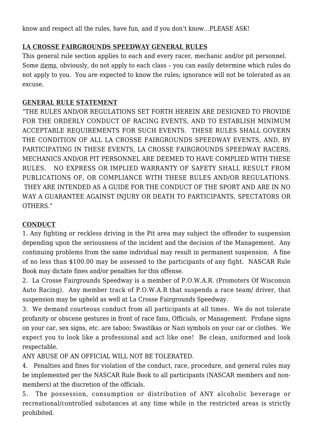know and respect all the rules, have fun, and if you don't know…PLEASE ASK!

## **LA CROSSE FAIRGROUNDS SPEEDWAY GENERAL RULES**

This general rule section applies to each and every racer, mechanic and/or pit personnel. Some *items*, obviously, do not apply to each class – you can easily determine which rules do not apply to you. You are expected to know the rules; ignorance will not be tolerated as an excuse.

#### **GENERAL RULE STATEMENT**

"THE RULES AND/OR REGULATIONS SET FORTH HEREIN ARE DESIGNED TO PROVIDE FOR THE ORDERLY CONDUCT OF RACING EVENTS, AND TO ESTABLISH MINIMUM ACCEPTABLE REQUIREMENTS FOR SUCH EVENTS. THESE RULES SHALL GOVERN THE CONDITION OF ALL LA CROSSE FAIRGROUNDS SPEEDWAY EVENTS, AND, BY PARTICIPATING IN THESE EVENTS, LA CROSSE FAIRGROUNDS SPEEDWAY RACERS, MECHANICS AND/OR PIT PERSONNEL ARE DEEMED TO HAVE COMPLIED WITH THESE RULES. NO EXPRESS OR IMPLIED WARRANTY OF SAFETY SHALL RESULT FROM PUBLICATIONS OF, OR COMPLIANCE WITH THESE RULES AND/OR REGULATIONS. THEY ARE INTENDED AS A GUIDE FOR THE CONDUCT OF THE SPORT AND ARE IN NO WAY A GUARANTEE AGAINST INJURY OR DEATH TO PARTICIPANTS, SPECTATORS OR OTHERS."

## **CONDUCT**

1. Any fighting or reckless driving in the Pit area may subject the offender to suspension depending upon the seriousness of the incident and the decision of the Management. Any continuing problems from the same individual may result in permanent suspension. A fine of no less than \$100.00 may be assessed to the participants of any fight. NASCAR Rule Book may dictate fines and/or penalties for this offense.

2. La Crosse Fairgrounds Speedway is a member of P.O.W.A.R. (Promoters Of Wisconsin Auto Racing). Any member track of P.O.W.A.R that suspends a race team/ driver, that suspension may be upheld as well at La Crosse Fairgrounds Speedway.

3. We demand courteous conduct from all participants at all times. We do not tolerate profanity or obscene gestures in front of race fans, Officials, or Management. Profane signs on your car, sex signs, etc. are taboo; Swastikas or Nazi symbols on your car or clothes. We expect you to look like a professional and act like one! Be clean, uniformed and look respectable.

ANY ABUSE OF AN OFFICIAL WILL NOT BE TOLERATED.

4. Penalties and fines for violation of the conduct, race, procedure, and general rules may be implemented per the NASCAR Rule Book to all participants (NASCAR members and nonmembers) at the discretion of the officials.

5. The possession, consumption or distribution of ANY alcoholic beverage or recreational/controlled substances at any time while in the restricted areas is strictly prohibited.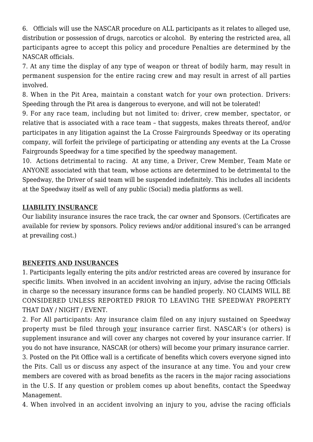6. Officials will use the NASCAR procedure on ALL participants as it relates to alleged use, distribution or possession of drugs, narcotics or alcohol. By entering the restricted area, all participants agree to accept this policy and procedure Penalties are determined by the NASCAR officials.

7. At any time the display of any type of weapon or threat of bodily harm, may result in permanent suspension for the entire racing crew and may result in arrest of all parties involved.

8. When in the Pit Area, maintain a constant watch for your own protection. Drivers: Speeding through the Pit area is dangerous to everyone, and will not be tolerated!

9. For any race team, including but not limited to: driver, crew member, spectator, or relative that is associated with a race team – that suggests, makes threats thereof, and/or participates in any litigation against the La Crosse Fairgrounds Speedway or its operating company, will forfeit the privilege of participating or attending any events at the La Crosse Fairgrounds Speedway for a time specified by the speedway management.

10. Actions detrimental to racing. At any time, a Driver, Crew Member, Team Mate or ANYONE associated with that team, whose actions are determined to be detrimental to the Speedway, the Driver of said team will be suspended indefinitely. This includes all incidents at the Speedway itself as well of any public (Social) media platforms as well.

#### **LIABILITY INSURANCE**

Our liability insurance insures the race track, the car owner and Sponsors. (Certificates are available for review by sponsors. Policy reviews and/or additional insured's can be arranged at prevailing cost.)

## **BENEFITS AND INSURANCES**

1. Participants legally entering the pits and/or restricted areas are covered by insurance for specific limits. When involved in an accident involving an injury, advise the racing Officials in charge so the necessary insurance forms can be handled properly. NO CLAIMS WILL BE CONSIDERED UNLESS REPORTED PRIOR TO LEAVING THE SPEEDWAY PROPERTY THAT DAY / NIGHT / EVENT.

2. For All participants: Any insurance claim filed on any injury sustained on Speedway property must be filed through your insurance carrier first. NASCAR's (or others) is supplement insurance and will cover any charges not covered by your insurance carrier. If you do not have insurance, NASCAR (or others) will become your primary insurance carrier.

3. Posted on the Pit Office wall is a certificate of benefits which covers everyone signed into the Pits. Call us or discuss any aspect of the insurance at any time. You and your crew members are covered with as broad benefits as the racers in the major racing associations in the U.S. If any question or problem comes up about benefits, contact the Speedway Management.

4. When involved in an accident involving an injury to you, advise the racing officials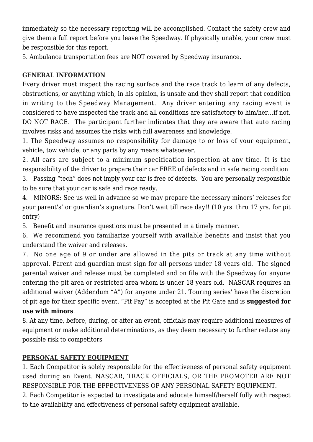immediately so the necessary reporting will be accomplished. Contact the safety crew and give them a full report before you leave the Speedway. If physically unable, your crew must be responsible for this report.

5. Ambulance transportation fees are NOT covered by Speedway insurance.

## **GENERAL INFORMATION**

Every driver must inspect the racing surface and the race track to learn of any defects, obstructions, or anything which, in his opinion, is unsafe and they shall report that condition in writing to the Speedway Management. Any driver entering any racing event is considered to have inspected the track and all conditions are satisfactory to him/her…if not, DO NOT RACE. The participant further indicates that they are aware that auto racing involves risks and assumes the risks with full awareness and knowledge.

1. The Speedway assumes no responsibility for damage to or loss of your equipment, vehicle, tow vehicle, or any parts by any means whatsoever.

2. All cars are subject to a minimum specification inspection at any time. It is the responsibility of the driver to prepare their car FREE of defects and in safe racing condition

3. Passing "tech" does not imply your car is free of defects. You are personally responsible to be sure that your car is safe and race ready.

4. MINORS: See us well in advance so we may prepare the necessary minors' releases for your parent's' or guardian's signature. Don't wait till race day!! (10 yrs. thru 17 yrs. for pit entry)

5. Benefit and insurance questions must be presented in a timely manner.

6. We recommend you familiarize yourself with available benefits and insist that you understand the waiver and releases.

7. No one age of 9 or under are allowed in the pits or track at any time without approval. Parent and guardian must sign for all persons under 18 years old. The signed parental waiver and release must be completed and on file with the Speedway for anyone entering the pit area or restricted area whom is under 18 years old. NASCAR requires an additional waiver (Addendum "A") for anyone under 21. Touring series' have the discretion of pit age for their specific event. "Pit Pay" is accepted at the Pit Gate and is **suggested for use with minors**.

8. At any time, before, during, or after an event, officials may require additional measures of equipment or make additional determinations, as they deem necessary to further reduce any possible risk to competitors

## **PERSONAL SAFETY EQUIPMENT**

1. Each Competitor is solely responsible for the effectiveness of personal safety equipment used during an Event. NASCAR, TRACK OFFICIALS, OR THE PROMOTER ARE NOT RESPONSIBLE FOR THE EFFECTIVENESS OF ANY PERSONAL SAFETY EQUIPMENT.

2. Each Competitor is expected to investigate and educate himself/herself fully with respect to the availability and effectiveness of personal safety equipment available.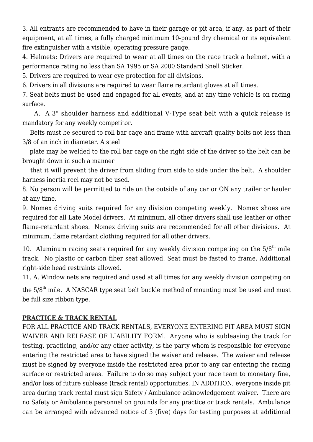3. All entrants are recommended to have in their garage or pit area, if any, as part of their equipment, at all times, a fully charged minimum 10-pound dry chemical or its equivalent fire extinguisher with a visible, operating pressure gauge.

4. Helmets: Drivers are required to wear at all times on the race track a helmet, with a performance rating no less than SA 1995 or SA 2000 Standard Snell Sticker.

5. Drivers are required to wear eye protection for all divisions.

6. Drivers in all divisions are required to wear flame retardant gloves at all times.

7. Seat belts must be used and engaged for all events, and at any time vehicle is on racing surface.

 A. A 3" shoulder harness and additional V-Type seat belt with a quick release is mandatory for any weekly competitor.

 Belts must be secured to roll bar cage and frame with aircraft quality bolts not less than 3/8 of an inch in diameter. A steel

 plate may be welded to the roll bar cage on the right side of the driver so the belt can be brought down in such a manner

 that it will prevent the driver from sliding from side to side under the belt. A shoulder harness inertia reel may not be used.

8. No person will be permitted to ride on the outside of any car or ON any trailer or hauler at any time.

9. Nomex driving suits required for any division competing weekly. Nomex shoes are required for all Late Model drivers. At minimum, all other drivers shall use leather or other flame-retardant shoes. Nomex driving suits are recommended for all other divisions. At minimum, flame retardant clothing required for all other drivers.

10. Aluminum racing seats required for any weekly division competing on the  $5/8<sup>th</sup>$  mile track. No plastic or carbon fiber seat allowed. Seat must be fasted to frame. Additional right-side head restraints allowed.

11. A. Window nets are required and used at all times for any weekly division competing on

the  $5/8<sup>th</sup>$  mile. A NASCAR type seat belt buckle method of mounting must be used and must be full size ribbon type.

#### **PRACTICE & TRACK RENTAL**

FOR ALL PRACTICE AND TRACK RENTALS, EVERYONE ENTERING PIT AREA MUST SIGN WAIVER AND RELEASE OF LIABILITY FORM. Anyone who is subleasing the track for testing, practicing, and/or any other activity, is the party whom is responsible for everyone entering the restricted area to have signed the waiver and release. The waiver and release must be signed by everyone inside the restricted area prior to any car entering the racing surface or restricted areas. Failure to do so may subject your race team to monetary fine, and/or loss of future sublease (track rental) opportunities. IN ADDITION, everyone inside pit area during track rental must sign Safety / Ambulance acknowledgement waiver. There are no Safety or Ambulance personnel on grounds for any practice or track rentals. Ambulance can be arranged with advanced notice of 5 (five) days for testing purposes at additional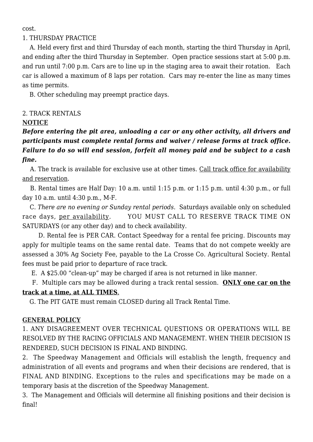cost.

#### 1. THURSDAY PRACTICE

 A. Held every first and third Thursday of each month, starting the third Thursday in April, and ending after the third Thursday in September. Open practice sessions start at 5:00 p.m. and run until 7:00 p.m. Cars are to line up in the staging area to await their rotation. Each car is allowed a maximum of 8 laps per rotation. Cars may re-enter the line as many times as time permits.

B. Other scheduling may preempt practice days.

## 2. TRACK RENTALS

#### **NOTICE**

*Before entering the pit area, unloading a car or any other activity, all drivers and participants must complete rental forms and waiver / release forms at track office. Failure to do so will end session, forfeit all money paid and be subject to a cash fine.*

 A. The track is available for exclusive use at other times. Call track office for availability and reservation.

 B. Rental times are Half Day: 10 a.m. until 1:15 p.m. or 1:15 p.m. until 4:30 p.m., or full day 10 a.m. until 4:30 p.m., M-F.

 C. *There are no evening or Sunday rental periods*. Saturdays available only on scheduled race days, per availability. YOU MUST CALL TO RESERVE TRACK TIME ON SATURDAYS (or any other day) and to check availability.

 D. Rental fee is PER CAR. Contact Speedway for a rental fee pricing. Discounts may apply for multiple teams on the same rental date. Teams that do not compete weekly are assessed a 30% Ag Society Fee, payable to the La Crosse Co. Agricultural Society. Rental fees must be paid prior to departure of race track.

E. A \$25.00 "clean-up" may be charged if area is not returned in like manner.

 F. Multiple cars may be allowed during a track rental session. **ONLY one car on the track at a time, at ALL TIMES**.

G. The PIT GATE must remain CLOSED during all Track Rental Time.

## **GENERAL POLICY**

1. ANY DISAGREEMENT OVER TECHNICAL QUESTIONS OR OPERATIONS WILL BE RESOLVED BY THE RACING OFFICIALS AND MANAGEMENT. WHEN THEIR DECISION IS RENDERED, SUCH DECISION IS FINAL AND BINDING.

2. The Speedway Management and Officials will establish the length, frequency and administration of all events and programs and when their decisions are rendered, that is FINAL AND BINDING. Exceptions to the rules and specifications may be made on a temporary basis at the discretion of the Speedway Management.

3. The Management and Officials will determine all finishing positions and their decision is final!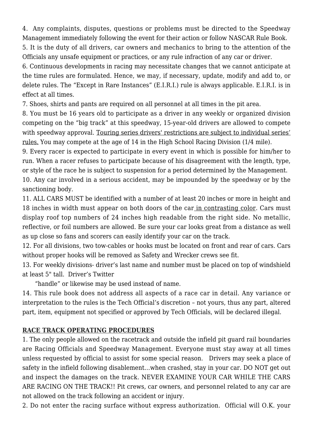4. Any complaints, disputes, questions or problems must be directed to the Speedway Management immediately following the event for their action or follow NASCAR Rule Book.

5. It is the duty of all drivers, car owners and mechanics to bring to the attention of the Officials any unsafe equipment or practices, or any rule infraction of any car or driver.

6. Continuous developments in racing may necessitate changes that we cannot anticipate at the time rules are formulated. Hence, we may, if necessary, update, modify and add to, or delete rules. The "Except in Rare Instances" (E.I.R.I.) rule is always applicable. E.I.R.I. is in effect at all times.

7. Shoes, shirts and pants are required on all personnel at all times in the pit area.

8. You must be 16 years old to participate as a driver in any weekly or organized division competing on the "big track" at this speedway, 15-year-old drivers are allowed to compete with speedway approval. Touring series drivers' restrictions are subject to individual series' rules. You may compete at the age of 14 in the High School Racing Division (1/4 mile).

9. Every racer is expected to participate in every event in which is possible for him/her to run. When a racer refuses to participate because of his disagreement with the length, type, or style of the race he is subject to suspension for a period determined by the Management.

10. Any car involved in a serious accident, may be impounded by the speedway or by the sanctioning body.

11. ALL CARS MUST be identified with a number of at least 20 inches or more in height and 18 inches in width must appear on both doors of the car in contrasting color. Cars must display roof top numbers of 24 inches high readable from the right side. No metallic, reflective, or foil numbers are allowed. Be sure your car looks great from a distance as well as up close so fans and scorers can easily identify your car on the track.

12. For all divisions, two tow-cables or hooks must be located on front and rear of cars. Cars without proper hooks will be removed as Safety and Wrecker crews see fit.

13. For weekly divisions- driver's last name and number must be placed on top of windshield at least 5" tall. Driver's Twitter

"handle" or likewise may be used instead of name.

14. This rule book does not address all aspects of a race car in detail. Any variance or interpretation to the rules is the Tech Official's discretion – not yours, thus any part, altered part, item, equipment not specified or approved by Tech Officials, will be declared illegal.

#### **RACE TRACK OPERATING PROCEDURES**

1. The only people allowed on the racetrack and outside the infield pit guard rail boundaries are Racing Officials and Speedway Management. Everyone must stay away at all times unless requested by official to assist for some special reason. Drivers may seek a place of safety in the infield following disablement…when crashed, stay in your car. DO NOT get out and inspect the damages on the track. NEVER EXAMINE YOUR CAR WHILE THE CARS ARE RACING ON THE TRACK!! Pit crews, car owners, and personnel related to any car are not allowed on the track following an accident or injury.

2. Do not enter the racing surface without express authorization. Official will O.K. your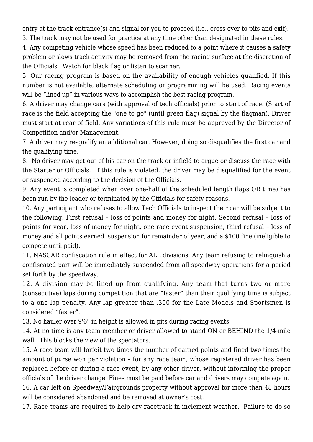entry at the track entrance(s) and signal for you to proceed (i.e., cross-over to pits and exit). 3. The track may not be used for practice at any time other than designated in these rules.

4. Any competing vehicle whose speed has been reduced to a point where it causes a safety problem or slows track activity may be removed from the racing surface at the discretion of the Officials. Watch for black flag or listen to scanner.

5. Our racing program is based on the availability of enough vehicles qualified. If this number is not available, alternate scheduling or programming will be used. Racing events will be "lined up" in various ways to accomplish the best racing program.

6. A driver may change cars (with approval of tech officials) prior to start of race. (Start of race is the field accepting the "one to go" (until green flag) signal by the flagman). Driver must start at rear of field. Any variations of this rule must be approved by the Director of Competition and/or Management.

7. A driver may re-qualify an additional car. However, doing so disqualifies the first car and the qualifying time.

8. No driver may get out of his car on the track or infield to argue or discuss the race with the Starter or Officials. If this rule is violated, the driver may be disqualified for the event or suspended according to the decision of the Officials.

9. Any event is completed when over one-half of the scheduled length (laps OR time) has been run by the leader or terminated by the Officials for safety reasons.

10. Any participant who refuses to allow Tech Officials to inspect their car will be subject to the following: First refusal – loss of points and money for night. Second refusal – loss of points for year, loss of money for night, one race event suspension, third refusal – loss of money and all points earned, suspension for remainder of year, and a \$100 fine (ineligible to compete until paid).

11. NASCAR confiscation rule in effect for ALL divisions. Any team refusing to relinquish a confiscated part will be immediately suspended from all speedway operations for a period set forth by the speedway.

12. A division may be lined up from qualifying. Any team that turns two or more (consecutive) laps during competition that are "faster" than their qualifying time is subject to a one lap penalty. Any lap greater than .350 for the Late Models and Sportsmen is considered "faster".

13. No hauler over 9'6" in height is allowed in pits during racing events.

14. At no time is any team member or driver allowed to stand ON or BEHIND the 1/4-mile wall. This blocks the view of the spectators.

15. A race team will forfeit two times the number of earned points and fined two times the amount of purse won per violation – for any race team, whose registered driver has been replaced before or during a race event, by any other driver, without informing the proper officials of the driver change. Fines must be paid before car and drivers may compete again.

16. A car left on Speedway/Fairgrounds property without approval for more than 48 hours will be considered abandoned and be removed at owner's cost.

17. Race teams are required to help dry racetrack in inclement weather. Failure to do so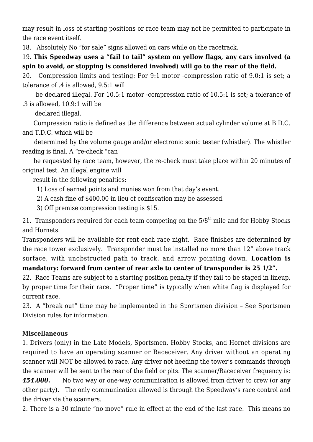may result in loss of starting positions or race team may not be permitted to participate in the race event itself.

18. Absolutely No "for sale" signs allowed on cars while on the racetrack.

19. **This Speedway uses a "fail to tail" system on yellow flags, any cars involved (a spin to avoid, or stopping is considered involved) will go to the rear of the field.** 

20. Compression limits and testing: For 9:1 motor -compression ratio of 9.0:1 is set; a tolerance of .4 is allowed, 9.5:1 will

 be declared illegal. For 10.5:1 motor -compression ratio of 10.5:1 is set; a tolerance of .3 is allowed, 10.9:1 will be

declared illegal.

 Compression ratio is defined as the difference between actual cylinder volume at B.D.C. and T.D.C. which will be

 determined by the volume gauge and/or electronic sonic tester (whistler). The whistler reading is final. A "re-check "can

 be requested by race team, however, the re-check must take place within 20 minutes of original test. An illegal engine will

result in the following penalties:

1) Loss of earned points and monies won from that day's event.

2) A cash fine of \$400.00 in lieu of confiscation may be assessed.

3) Off premise compression testing is \$15.

21. Transponders required for each team competing on the  $5/8<sup>th</sup>$  mile and for Hobby Stocks and Hornets.

Transponders will be available for rent each race night. Race finishes are determined by the race tower exclusively. Transponder must be installed no more than 12" above track surface, with unobstructed path to track, and arrow pointing down. **Location is mandatory: forward from center of rear axle to center of transponder is 25 1/2".** 

22. Race Teams are subject to a starting position penalty if they fail to be staged in lineup, by proper time for their race. "Proper time" is typically when white flag is displayed for current race.

23. A "break out" time may be implemented in the Sportsmen division – See Sportsmen Division rules for information.

## **Miscellaneous**

1. Drivers (only) in the Late Models, Sportsmen, Hobby Stocks, and Hornet divisions are required to have an operating scanner or Raceceiver. Any driver without an operating scanner will NOT be allowed to race. Any driver not heeding the tower's commands through the scanner will be sent to the rear of the field or pits. The scanner/Raceceiver frequency is*:*

454.000. No two way or one-way communication is allowed from driver to crew (or any other party). The only communication allowed is through the Speedway's race control and the driver via the scanners.

2. There is a 30 minute "no move" rule in effect at the end of the last race. This means no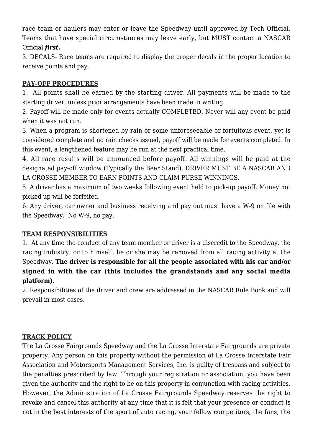race team or haulers may enter or leave the Speedway until approved by Tech Official. Teams that have special circumstances may leave early, but MUST contact a NASCAR Official *first.* 

3. DECALS- Race teams are required to display the proper decals in the proper location to receive points and pay.

#### **PAY-OFF PROCEDURES**

1. All points shall be earned by the starting driver. All payments will be made to the starting driver, unless prior arrangements have been made in writing.

2. Payoff will be made only for events actually COMPLETED. Never will any event be paid when it was not run.

3. When a program is shortened by rain or some unforeseeable or fortuitous event, yet is considered complete and no rain checks issued, payoff will be made for events completed. In this event, a lengthened feature may be run at the next practical time.

4. All race results will be announced before payoff. All winnings will be paid at the designated pay-off window (Typically the Beer Stand). DRIVER MUST BE A NASCAR AND LA CROSSE MEMBER TO EARN POINTS AND CLAIM PURSE WINNINGS.

5. A driver has a maximum of two weeks following event held to pick-up payoff. Money not picked up will be forfeited.

6. Any driver, car owner and business receiving and pay out must have a W-9 on file with the Speedway. No W-9, no pay.

## **TEAM RESPONSIBILITIES**

1. At any time the conduct of any team member or driver is a discredit to the Speedway, the racing industry, or to himself, he or she may be removed from all racing activity at the Speedway. **The driver is responsible for all the people associated with his car and/or signed in with the car (this includes the grandstands and any social media platform).** 

2. Responsibilities of the driver and crew are addressed in the NASCAR Rule Book and will prevail in most cases.

#### **TRACK POLICY**

The La Crosse Fairgrounds Speedway and the La Crosse Interstate Fairgrounds are private property. Any person on this property without the permission of La Crosse Interstate Fair Association and Motorsports Management Services, Inc. is guilty of trespass and subject to the penalties prescribed by law. Through your registration or association, you have been given the authority and the right to be on this property in conjunction with racing activities. However, the Administration of La Crosse Fairgrounds Speedway reserves the right to revoke and cancel this authority at any time that it is felt that your presence or conduct is not in the best interests of the sport of auto racing, your fellow competitors, the fans, the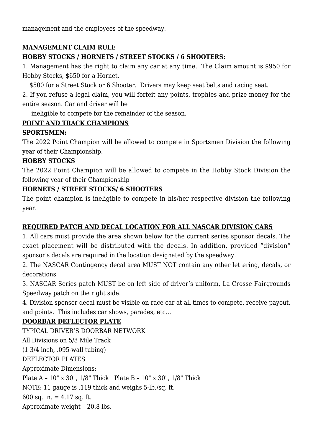management and the employees of the speedway.

## **MANAGEMENT CLAIM RULE HOBBY STOCKS / HORNETS / STREET STOCKS / 6 SHOOTERS:**

1. Management has the right to claim any car at any time. The Claim amount is \$950 for Hobby Stocks, \$650 for a Hornet,

\$500 for a Street Stock or 6 Shooter. Drivers may keep seat belts and racing seat.

2. If you refuse a legal claim, you will forfeit any points, trophies and prize money for the entire season. Car and driver will be

ineligible to compete for the remainder of the season.

## **POINT AND TRACK CHAMPIONS**

#### **SPORTSMEN:**

The 2022 Point Champion will be allowed to compete in Sportsmen Division the following year of their Championship.

#### **HOBBY STOCKS**

The 2022 Point Champion will be allowed to compete in the Hobby Stock Division the following year of their Championship

## **HORNETS / STREET STOCKS/ 6 SHOOTERS**

The point champion is ineligible to compete in his/her respective division the following year.

## **REQUIRED PATCH AND DECAL LOCATION FOR ALL NASCAR DIVISION CARS**

1. All cars must provide the area shown below for the current series sponsor decals. The exact placement will be distributed with the decals. In addition, provided "division" sponsor's decals are required in the location designated by the speedway.

2. The NASCAR Contingency decal area MUST NOT contain any other lettering, decals, or decorations.

3. NASCAR Series patch MUST be on left side of driver's uniform, La Crosse Fairgrounds Speedway patch on the right side.

4. Division sponsor decal must be visible on race car at all times to compete, receive payout, and points. This includes car shows, parades, etc…

## **DOORBAR DEFLECTOR PLATE**

TYPICAL DRIVER'S DOORBAR NETWORK All Divisions on 5/8 Mile Track (1 3/4 inch, .095-wall tubing) DEFLECTOR PLATES Approximate Dimensions: Plate A – 10" x 30", 1/8" Thick Plate B – 10" x 30", 1/8" Thick NOTE: 11 gauge is .119 thick and weighs 5-lb./sq. ft. 600 sq. in.  $= 4.17$  sq. ft. Approximate weight – 20.8 lbs.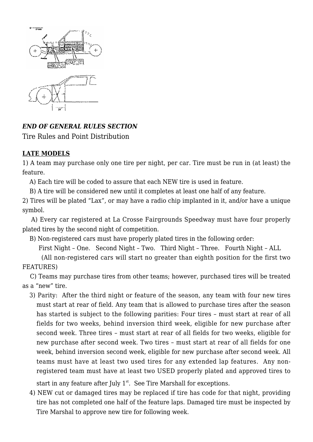

## *END OF GENERAL RULES SECTION*

Tire Rules and Point Distribution

## **LATE MODELS**

1) A team may purchase only one tire per night, per car. Tire must be run in (at least) the feature.

A) Each tire will be coded to assure that each NEW tire is used in feature.

B) A tire will be considered new until it completes at least one half of any feature.

2) Tires will be plated "Lax", or may have a radio chip implanted in it, and/or have a unique symbol.

 A) Every car registered at La Crosse Fairgrounds Speedway must have four properly plated tires by the second night of competition.

B) Non-registered cars must have properly plated tires in the following order:

First Night – One. Second Night – Two. Third Night – Three. Fourth Night – ALL

 (All non-registered cars will start no greater than eighth position for the first two FEATURES)

 C) Teams may purchase tires from other teams; however, purchased tires will be treated as a "new" tire.

3) Parity: After the third night or feature of the season, any team with four new tires must start at rear of field. Any team that is allowed to purchase tires after the season has started is subject to the following parities: Four tires – must start at rear of all fields for two weeks, behind inversion third week, eligible for new purchase after second week. Three tires – must start at rear of all fields for two weeks, eligible for new purchase after second week. Two tires – must start at rear of all fields for one week, behind inversion second week, eligible for new purchase after second week. All teams must have at least two used tires for any extended lap features. Any nonregistered team must have at least two USED properly plated and approved tires to

start in any feature after July  $1<sup>st</sup>$ . See Tire Marshall for exceptions.

4) NEW cut or damaged tires may be replaced if tire has code for that night, providing tire has not completed one half of the feature laps. Damaged tire must be inspected by Tire Marshal to approve new tire for following week.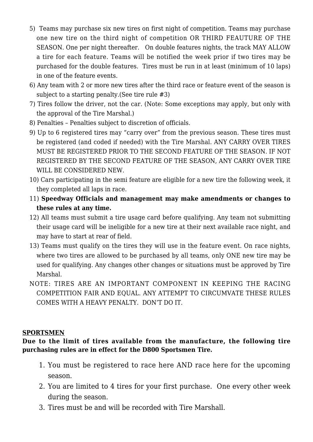- 5) Teams may purchase six new tires on first night of competition. Teams may purchase one new tire on the third night of competition OR THIRD FEAUTURE OF THE SEASON. One per night thereafter. On double features nights, the track MAY ALLOW a tire for each feature. Teams will be notified the week prior if two tires may be purchased for the double features. Tires must be run in at least (minimum of 10 laps) in one of the feature events.
- 6) Any team with 2 or more new tires after the third race or feature event of the season is subject to a starting penalty.(See tire rule #3)
- 7) Tires follow the driver, not the car. (Note: Some exceptions may apply, but only with the approval of the Tire Marshal.)
- 8) Penalties Penalties subject to discretion of officials.
- 9) Up to 6 registered tires may "carry over" from the previous season. These tires must be registered (and coded if needed) with the Tire Marshal. ANY CARRY OVER TIRES MUST BE REGISTERED PRIOR TO THE SECOND FEATURE OF THE SEASON. IF NOT REGISTERED BY THE SECOND FEATURE OF THE SEASON, ANY CARRY OVER TIRE WILL BE CONSIDERED NEW.
- 10) Cars participating in the semi feature are eligible for a new tire the following week, it they completed all laps in race.
- 11) **Speedway Officials and management may make amendments or changes to these rules at any time.**
- 12) All teams must submit a tire usage card before qualifying. Any team not submitting their usage card will be ineligible for a new tire at their next available race night, and may have to start at rear of field.
- 13) Teams must qualify on the tires they will use in the feature event. On race nights, where two tires are allowed to be purchased by all teams, only ONE new tire may be used for qualifying. Any changes other changes or situations must be approved by Tire Marshal.
- NOTE: TIRES ARE AN IMPORTANT COMPONENT IN KEEPING THE RACING COMPETITION FAIR AND EQUAL. ANY ATTEMPT TO CIRCUMVATE THESE RULES COMES WITH A HEAVY PENALTY. DON'T DO IT.

#### **SPORTSMEN**

#### **Due to the limit of tires available from the manufacture, the following tire purchasing rules are in effect for the D800 Sportsmen Tire.**

- 1. You must be registered to race here AND race here for the upcoming season.
- 2. You are limited to 4 tires for your first purchase. One every other week during the season.
- 3. Tires must be and will be recorded with Tire Marshall.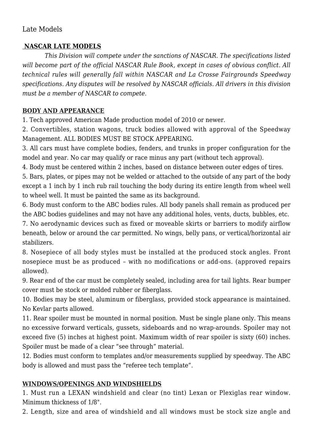## Late Models

#### **NASCAR LATE MODELS**

 *This Division will compete under the sanctions of NASCAR. The specifications listed will become part of the official NASCAR Rule Book, except in cases of obvious conflict. All technical rules will generally fall within NASCAR and La Crosse Fairgrounds Speedway specifications. Any disputes will be resolved by NASCAR officials. All drivers in this division must be a member of NASCAR to compete.*

## **BODY AND APPEARANCE**

1. Tech approved American Made production model of 2010 or newer.

2. Convertibles, station wagons, truck bodies allowed with approval of the Speedway Management. ALL BODIES MUST BE STOCK APPEARING.

3. All cars must have complete bodies, fenders, and trunks in proper configuration for the model and year. No car may qualify or race minus any part (without tech approval).

4. Body must be centered within 2 inches, based on distance between outer edges of tires.

5. Bars, plates, or pipes may not be welded or attached to the outside of any part of the body except a 1 inch by 1 inch rub rail touching the body during its entire length from wheel well to wheel well. It must be painted the same as its background.

6. Body must conform to the ABC bodies rules. All body panels shall remain as produced per the ABC bodies guidelines and may not have any additional holes, vents, ducts, bubbles, etc.

7. No aerodynamic devices such as fixed or moveable skirts or barriers to modify airflow beneath, below or around the car permitted. No wings, belly pans, or vertical/horizontal air stabilizers.

8. Nosepiece of all body styles must be installed at the produced stock angles. Front nosepiece must be as produced – with no modifications or add-ons. (approved repairs allowed).

9. Rear end of the car must be completely sealed, including area for tail lights. Rear bumper cover must be stock or molded rubber or fiberglass.

10. Bodies may be steel, aluminum or fiberglass, provided stock appearance is maintained. No Kevlar parts allowed.

11. Rear spoiler must be mounted in normal position. Must be single plane only. This means no excessive forward verticals, gussets, sideboards and no wrap-arounds. Spoiler may not exceed five (5) inches at highest point. Maximum width of rear spoiler is sixty (60) inches. Spoiler must be made of a clear "see through" material.

12. Bodies must conform to templates and/or measurements supplied by speedway. The ABC body is allowed and must pass the "referee tech template".

## **WINDOWS/OPENINGS AND WINDSHIELDS**

1. Must run a LEXAN windshield and clear (no tint) Lexan or Plexiglas rear window. Minimum thickness of 1/8".

2. Length, size and area of windshield and all windows must be stock size angle and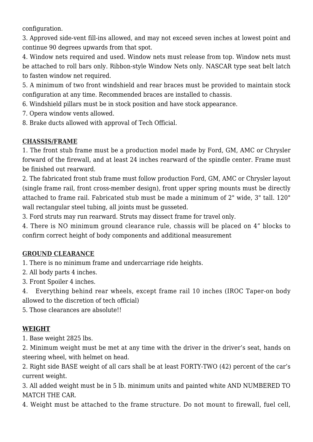configuration.

3. Approved side-vent fill-ins allowed, and may not exceed seven inches at lowest point and continue 90 degrees upwards from that spot.

4. Window nets required and used. Window nets must release from top. Window nets must be attached to roll bars only. Ribbon-style Window Nets only. NASCAR type seat belt latch to fasten window net required.

5. A minimum of two front windshield and rear braces must be provided to maintain stock configuration at any time. Recommended braces are installed to chassis.

6. Windshield pillars must be in stock position and have stock appearance.

7. Opera window vents allowed.

8. Brake ducts allowed with approval of Tech Official.

## **CHASSIS/FRAME**

1. The front stub frame must be a production model made by Ford, GM, AMC or Chrysler forward of the firewall, and at least 24 inches rearward of the spindle center. Frame must be finished out rearward.

2. The fabricated front stub frame must follow production Ford, GM, AMC or Chrysler layout (single frame rail, front cross-member design), front upper spring mounts must be directly attached to frame rail. Fabricated stub must be made a minimum of 2" wide, 3" tall. 120" wall rectangular steel tubing, all joints must be gusseted.

3. Ford struts may run rearward. Struts may dissect frame for travel only.

4. There is NO minimum ground clearance rule, chassis will be placed on 4" blocks to confirm correct height of body components and additional measurement

## **GROUND CLEARANCE**

1. There is no minimum frame and undercarriage ride heights.

2. All body parts 4 inches.

3. Front Spoiler 4 inches.

4. Everything behind rear wheels, except frame rail 10 inches (IROC Taper-on body allowed to the discretion of tech official)

5. Those clearances are absolute!!

## **WEIGHT**

1. Base weight 2825 lbs.

2. Minimum weight must be met at any time with the driver in the driver's seat, hands on steering wheel, with helmet on head.

2. Right side BASE weight of all cars shall be at least FORTY-TWO (42) percent of the car's current weight.

3. All added weight must be in 5 lb. minimum units and painted white AND NUMBERED TO MATCH THE CAR.

4. Weight must be attached to the frame structure. Do not mount to firewall, fuel cell,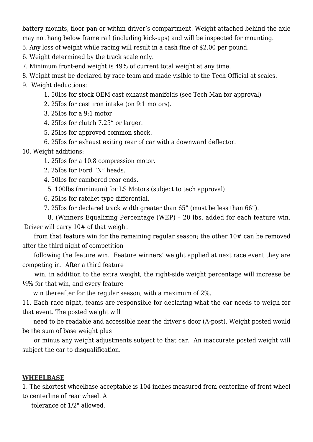battery mounts, floor pan or within driver's compartment. Weight attached behind the axle may not hang below frame rail (including kick-ups) and will be inspected for mounting.

5. Any loss of weight while racing will result in a cash fine of \$2.00 per pound.

6. Weight determined by the track scale only.

7. Minimum front-end weight is 49% of current total weight at any time.

8. Weight must be declared by race team and made visible to the Tech Official at scales.

9. Weight deductions:

1. 50lbs for stock OEM cast exhaust manifolds (see Tech Man for approval)

2. 25lbs for cast iron intake (on 9:1 motors).

3. 25lbs for a 9:1 motor

4. 25lbs for clutch 7.25" or larger.

5. 25lbs for approved common shock.

6. 25lbs for exhaust exiting rear of car with a downward deflector.

10. Weight additions:

1. 25lbs for a 10.8 compression motor.

2. 25lbs for Ford "N" heads.

4. 50lbs for cambered rear ends.

5. 100lbs (minimum) for LS Motors (subject to tech approval)

6. 25lbs for ratchet type differential.

7. 25lbs for declared track width greater than 65" (must be less than 66").

 8. (Winners Equalizing Percentage (WEP) – 20 lbs. added for each feature win. Driver will carry 10# of that weight

 from that feature win for the remaining regular season; the other 10# can be removed after the third night of competition

 following the feature win. Feature winners' weight applied at next race event they are competing in. After a third feature

 win, in addition to the extra weight, the right-side weight percentage will increase be ½% for that win, and every feature

win thereafter for the regular season, with a maximum of 2%.

11. Each race night, teams are responsible for declaring what the car needs to weigh for that event. The posted weight will

 need to be readable and accessible near the driver's door (A-post). Weight posted would be the sum of base weight plus

 or minus any weight adjustments subject to that car. An inaccurate posted weight will subject the car to disqualification.

#### **WHEELBASE**

1. The shortest wheelbase acceptable is 104 inches measured from centerline of front wheel to centerline of rear wheel. A

tolerance of 1/2" allowed.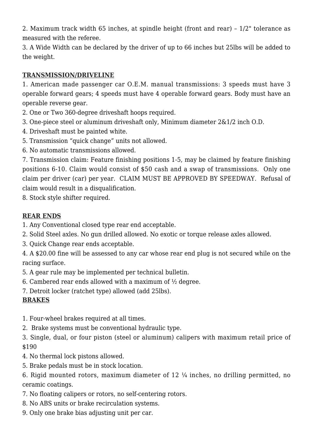2. Maximum track width 65 inches, at spindle height (front and rear) – 1/2" tolerance as measured with the referee.

3. A Wide Width can be declared by the driver of up to 66 inches but 25lbs will be added to the weight.

## **TRANSMISSION/DRIVELINE**

1. American made passenger car O.E.M. manual transmissions: 3 speeds must have 3 operable forward gears; 4 speeds must have 4 operable forward gears. Body must have an operable reverse gear.

2. One or Two 360-degree driveshaft hoops required.

- 3. One-piece steel or aluminum driveshaft only, Minimum diameter 2&1/2 inch O.D.
- 4. Driveshaft must be painted white.
- 5. Transmission "quick change" units not allowed.
- 6. No automatic transmissions allowed.

7. Transmission claim: Feature finishing positions 1-5, may be claimed by feature finishing positions 6-10. Claim would consist of \$50 cash and a swap of transmissions. Only one claim per driver (car) per year. CLAIM MUST BE APPROVED BY SPEEDWAY. Refusal of claim would result in a disqualification.

8. Stock style shifter required.

## **REAR ENDS**

- 1. Any Conventional closed type rear end acceptable.
- 2. Solid Steel axles. No gun drilled allowed. No exotic or torque release axles allowed.
- 3. Quick Change rear ends acceptable.

4. A \$20.00 fine will be assessed to any car whose rear end plug is not secured while on the racing surface.

- 5. A gear rule may be implemented per technical bulletin.
- 6. Cambered rear ends allowed with a maximum of  $\frac{1}{2}$  degree.
- 7. Detroit locker (ratchet type) allowed (add 25lbs).

# **BRAKES**

- 1. Four-wheel brakes required at all times.
- 2. Brake systems must be conventional hydraulic type.
- 3. Single, dual, or four piston (steel or aluminum) calipers with maximum retail price of \$190
- 4. No thermal lock pistons allowed.
- 5. Brake pedals must be in stock location.

6. Rigid mounted rotors, maximum diameter of 12 ¼ inches, no drilling permitted, no ceramic coatings.

- 7. No floating calipers or rotors, no self-centering rotors.
- 8. No ABS units or brake recirculation systems.
- 9. Only one brake bias adjusting unit per car.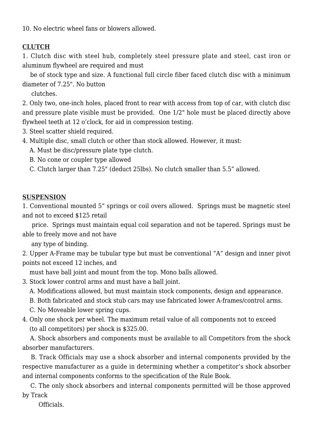10. No electric wheel fans or blowers allowed.

## **CLUTCH**

1. Clutch disc with steel hub, completely steel pressure plate and steel, cast iron or aluminum flywheel are required and must

 be of stock type and size. A functional full circle fiber faced clutch disc with a minimum diameter of 7.25". No button

clutches.

2. Only two, one-inch holes, placed front to rear with access from top of car, with clutch disc and pressure plate visible must be provided. One 1/2" hole must be placed directly above flywheel teeth at 12 o'clock, for aid in compression testing.

- 3. Steel scatter shield required.
- 4. Multiple disc, small clutch or other than stock allowed. However, it must:
	- A. Must be disc/pressure plate type clutch.

B. No cone or coupler type allowed

C. Clutch larger than 7.25" (deduct 25lbs). No clutch smaller than 5.5" allowed.

#### **SUSPENSION**

1. Conventional mounted 5" springs or coil overs allowed. Springs must be magnetic steel and not to exceed \$125 retail

 price. Springs must maintain equal coil separation and not be tapered. Springs must be able to freely move and not have

any type of binding.

2. Upper A-Frame may be tubular type but must be conventional "A" design and inner pivot points not exceed 12 inches, and

must have ball joint and mount from the top. Mono balls allowed.

3. Stock lower control arms and must have a ball joint.

A. Modifications allowed, but must maintain stock components, design and appearance.

B. Both fabricated and stock stub cars may use fabricated lower A-frames/control arms.

C. No Moveable lower spring cups.

4. Only one shock per wheel. The maximum retail value of all components not to exceed (to all competitors) per shock is \$325.00.

 A. Shock absorbers and components must be available to all Competitors from the shock absorber manufacturers.

 B. Track Officials may use a shock absorber and internal components provided by the respective manufacturer as a guide in determining whether a competitor's shock absorber and internal components conforms to the specification of the Rule Book.

 C. The only shock absorbers and internal components permitted will be those approved by Track

Officials.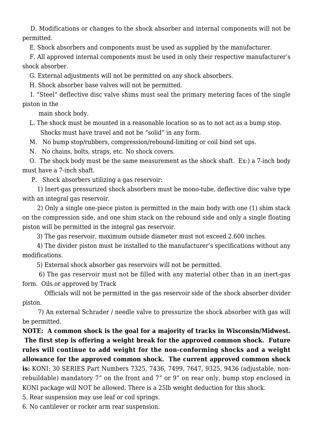D. Modifications or changes to the shock absorber and internal components will not be permitted.

E. Shock absorbers and components must be used as supplied by the manufacturer.

 F. All approved internal components must be used in only their respective manufacturer's shock absorber.

G. External adjustments will not be permitted on any shock absorbers.

H. Shock absorber base valves will not be permitted.

 I. "Steel" deflective disc valve shims must seal the primary metering faces of the single piston in the

main shock body.

 L. The shock must be mounted in a reasonable location so as to not act as a bump stop. Shocks must have travel and not be "solid" in any form.

M. No bump stop/rubbers, compression/rebound-limiting or coil bind set ups.

N. No chains, bolts, straps, etc. No shock covers.

 O. The shock body must be the same measurement as the shock shaft. Ex:) a 7-inch body must have a 7-inch shaft.

P. Shock absorbers utilizing a gas reservoir:

 1) Inert-gas pressurized shock absorbers must be mono-tube, deflective disc valve type with an integral gas reservoir.

 2) Only a single one-piece piston is permitted in the main body with one (1) shim stack on the compression side, and one shim stack on the rebound side and only a single floating piston will be permitted in the integral gas reservoir.

3) The gas reservoir, maximum outside diameter must not exceed 2.600 inches.

 4) The divider piston must be installed to the manufacturer's specifications without any modifications.

5) External shock absorber gas reservoirs will not be permitted.

 6) The gas reservoir must not be filled with any material other than in an inert-gas form. Oils or approved by Track

 Officials will not be permitted in the gas reservoir side of the shock absorber divider piston.

 7) An external Schrader / needle valve to pressurize the shock absorber with gas will be permitted.

**NOTE: A common shock is the goal for a majority of tracks in Wisconsin/Midwest. The first step is offering a weight break for the approved common shock. Future rules will continue to add weight for the non-conforming shocks and a weight allowance for the approved common shock. The current approved common shock is:** KONI: 30 SERIES Part Numbers 7325, 7436, 7499, 7647, 9325, 9436 (adjustable, nonrebuildable) mandatory 7" on the front and 7" or 9" on rear only, bump stop enclosed in KONI package will NOT be allowed. There is a 25lb weight deduction for this shock.

5. Rear suspension may use leaf or coil springs.

6. No cantilever or rocker arm rear suspension.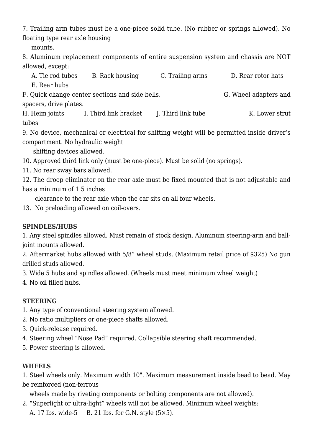7. Trailing arm tubes must be a one-piece solid tube. (No rubber or springs allowed). No floating type rear axle housing

mounts.

8. Aluminum replacement components of entire suspension system and chassis are NOT allowed, except:

A. Tie rod tubes B. Rack housing C. Trailing arms D. Rear rotor hats E. Rear hubs F. Quick change center sections and side bells. G. Wheel adapters and spacers, drive plates.

H. Heim joints I. Third link bracket J. Third link tube K. Lower strut tubes

9. No device, mechanical or electrical for shifting weight will be permitted inside driver's compartment. No hydraulic weight

shifting devices allowed.

- 10. Approved third link only (must be one-piece). Must be solid (no springs).
- 11. No rear sway bars allowed.

12. The droop eliminator on the rear axle must be fixed mounted that is not adjustable and has a minimum of 1.5 inches

clearance to the rear axle when the car sits on all four wheels.

13. No preloading allowed on coil-overs.

## **SPINDLES/HUBS**

1. Any steel spindles allowed. Must remain of stock design. Aluminum steering-arm and balljoint mounts allowed.

2. Aftermarket hubs allowed with 5/8" wheel studs. (Maximum retail price of \$325) No gun drilled studs allowed.

3. Wide 5 hubs and spindles allowed. (Wheels must meet minimum wheel weight)

4. No oil filled hubs.

## **STEERING**

- 1. Any type of conventional steering system allowed.
- 2. No ratio multipliers or one-piece shafts allowed.
- 3. Quick-release required.
- 4. Steering wheel "Nose Pad" required. Collapsible steering shaft recommended.
- 5. Power steering is allowed.

## **WHEELS**

1. Steel wheels only. Maximum width 10". Maximum measurement inside bead to bead. May be reinforced (non-ferrous

wheels made by riveting components or bolting components are not allowed).

- 2. "Superlight or ultra-light" wheels will not be allowed. Minimum wheel weights:
	- A. 17 lbs. wide-5 B. 21 lbs. for G.N. style  $(5 \times 5)$ .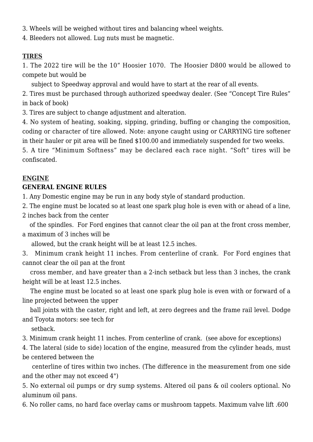- 3. Wheels will be weighed without tires and balancing wheel weights.
- 4. Bleeders not allowed. Lug nuts must be magnetic.

#### **TIRES**

1. The 2022 tire will be the 10" Hoosier 1070. The Hoosier D800 would be allowed to compete but would be

subject to Speedway approval and would have to start at the rear of all events.

2. Tires must be purchased through authorized speedway dealer. (See "Concept Tire Rules" in back of book)

3. Tires are subject to change adjustment and alteration.

4. No system of heating, soaking, sipping, grinding, buffing or changing the composition, coding or character of tire allowed. Note: anyone caught using or CARRYING tire softener in their hauler or pit area will be fined \$100.00 and immediately suspended for two weeks.

5. A tire "Minimum Softness" may be declared each race night. "Soft" tires will be confiscated.

#### **ENGINE**

## **GENERAL ENGINE RULES**

1. Any Domestic engine may be run in any body style of standard production.

2. The engine must be located so at least one spark plug hole is even with or ahead of a line,

2 inches back from the center

 of the spindles. For Ford engines that cannot clear the oil pan at the front cross member, a maximum of 3 inches will be

allowed, but the crank height will be at least 12.5 inches.

3. Minimum crank height 11 inches. From centerline of crank. For Ford engines that cannot clear the oil pan at the front

 cross member, and have greater than a 2-inch setback but less than 3 inches, the crank height will be at least 12.5 inches.

 The engine must be located so at least one spark plug hole is even with or forward of a line projected between the upper

 ball joints with the caster, right and left, at zero degrees and the frame rail level. Dodge and Toyota motors: see tech for

setback.

3. Minimum crank height 11 inches. From centerline of crank. (see above for exceptions)

4. The lateral (side to side) location of the engine, measured from the cylinder heads, must be centered between the

 centerline of tires within two inches. (The difference in the measurement from one side and the other may not exceed 4")

5. No external oil pumps or dry sump systems. Altered oil pans & oil coolers optional. No aluminum oil pans.

6. No roller cams, no hard face overlay cams or mushroom tappets. Maximum valve lift .600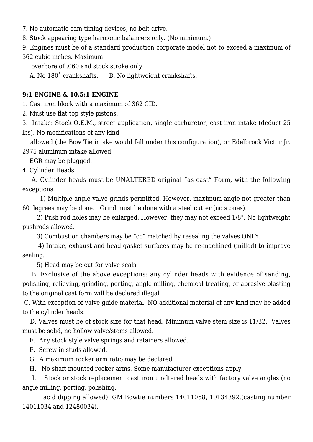- 7. No automatic cam timing devices, no belt drive.
- 8. Stock appearing type harmonic balancers only. (No minimum.)

9. Engines must be of a standard production corporate model not to exceed a maximum of

362 cubic inches. Maximum

overbore of .060 and stock stroke only.

A. No  $180^\circ$  crankshafts. B. No lightweight crankshafts.

#### **9:1 ENGINE & 10.5:1 ENGINE**

1. Cast iron block with a maximum of 362 CID.

2. Must use flat top style pistons.

3. Intake: Stock O.E.M., street application, single carburetor, cast iron intake (deduct 25 lbs). No modifications of any kind

 allowed (the Bow Tie intake would fall under this configuration), or Edelbrock Victor Jr. 2975 aluminum intake allowed.

EGR may be plugged.

4. Cylinder Heads

 A. Cylinder heads must be UNALTERED original "as cast" Form, with the following exceptions:

 1) Multiple angle valve grinds permitted. However, maximum angle not greater than 60 degrees may be done. Grind must be done with a steel cutter (no stones).

 2) Push rod holes may be enlarged. However, they may not exceed 1/8". No lightweight pushrods allowed.

3) Combustion chambers may be "cc" matched by resealing the valves ONLY.

 4) Intake, exhaust and head gasket surfaces may be re-machined (milled) to improve sealing.

5) Head may be cut for valve seals.

 B. Exclusive of the above exceptions: any cylinder heads with evidence of sanding, polishing, relieving, grinding, porting, angle milling, chemical treating, or abrasive blasting to the original cast form will be declared illegal.

 C. With exception of valve guide material. NO additional material of any kind may be added to the cylinder heads.

 D. Valves must be of stock size for that head. Minimum valve stem size is 11/32. Valves must be solid, no hollow valve/stems allowed.

E. Any stock style valve springs and retainers allowed.

- F. Screw in studs allowed.
- G. A maximum rocker arm ratio may be declared.
- H. No shaft mounted rocker arms. Some manufacturer exceptions apply.

 I. Stock or stock replacement cast iron unaltered heads with factory valve angles (no angle milling, porting, polishing,

 acid dipping allowed). GM Bowtie numbers 14011058, 10134392,(casting number 14011034 and 12480034),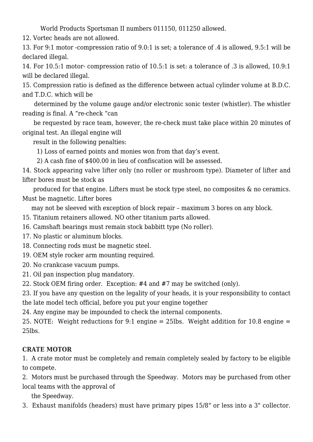World Products Sportsman II numbers 011150, 011250 allowed.

12. Vortec heads are not allowed.

13. For 9:1 motor -compression ratio of 9.0:1 is set; a tolerance of .4 is allowed, 9.5:1 will be declared illegal.

14. For 10.5:1 motor- compression ratio of 10.5:1 is set: a tolerance of .3 is allowed, 10.9:1 will be declared illegal.

15. Compression ratio is defined as the difference between actual cylinder volume at B.D.C. and T.D.C. which will be

 determined by the volume gauge and/or electronic sonic tester (whistler). The whistler reading is final. A "re-check "can

 be requested by race team, however, the re-check must take place within 20 minutes of original test. An illegal engine will

result in the following penalties:

1) Loss of earned points and monies won from that day's event.

2) A cash fine of \$400.00 in lieu of confiscation will be assessed.

14. Stock appearing valve lifter only (no roller or mushroom type). Diameter of lifter and lifter bores must be stock as

 produced for that engine. Lifters must be stock type steel, no composites & no ceramics. Must be magnetic. Lifter bores

may not be sleeved with exception of block repair – maximum 3 bores on any block.

15. Titanium retainers allowed. NO other titanium parts allowed.

16. Camshaft bearings must remain stock babbitt type (No roller).

- 17. No plastic or aluminum blocks.
- 18. Connecting rods must be magnetic steel.
- 19. OEM style rocker arm mounting required.
- 20. No crankcase vacuum pumps.
- 21. Oil pan inspection plug mandatory.

22. Stock OEM firing order. Exception: #4 and #7 may be switched (only).

23. If you have any question on the legality of your heads, it is your responsibility to contact the late model tech official, before you put your engine together

24. Any engine may be impounded to check the internal components.

25. NOTE: Weight reductions for 9:1 engine = 25lbs. Weight addition for 10.8 engine = 25lbs.

## **CRATE MOTOR**

1. A crate motor must be completely and remain completely sealed by factory to be eligible to compete.

2. Motors must be purchased through the Speedway. Motors may be purchased from other local teams with the approval of

the Speedway.

3. Exhaust manifolds (headers) must have primary pipes 15/8" or less into a 3" collector.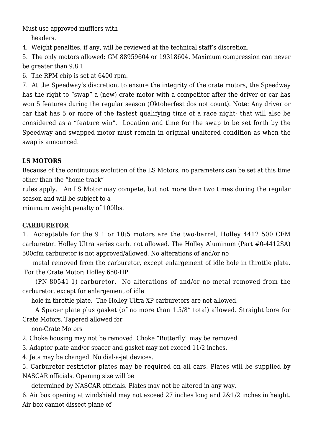Must use approved mufflers with

headers.

4. Weight penalties, if any, will be reviewed at the technical staff's discretion.

5. The only motors allowed: GM 88959604 or 19318604. Maximum compression can never be greater than 9.8:1

6. The RPM chip is set at 6400 rpm.

7. At the Speedway's discretion, to ensure the integrity of the crate motors, the Speedway has the right to "swap" a (new) crate motor with a competitor after the driver or car has won 5 features during the regular season (Oktoberfest dos not count). Note: Any driver or car that has 5 or more of the fastest qualifying time of a race night- that will also be considered as a "feature win". Location and time for the swap to be set forth by the Speedway and swapped motor must remain in original unaltered condition as when the swap is announced.

## **LS MOTORS**

Because of the continuous evolution of the LS Motors, no parameters can be set at this time other than the "home track"

rules apply. An LS Motor may compete, but not more than two times during the regular season and will be subject to a

minimum weight penalty of 100lbs.

## **CARBURETOR**

1. Acceptable for the 9:1 or 10:5 motors are the two-barrel, Holley 4412 500 CFM carburetor. Holley Ultra series carb. not allowed. The Holley Aluminum (Part #0-4412SA) 500cfm carburetor is not approved/allowed. No alterations of and/or no

 metal removed from the carburetor, except enlargement of idle hole in throttle plate. For the Crate Motor: Holley 650-HP

 (PN-80541-1) carburetor. No alterations of and/or no metal removed from the carburetor, except for enlargement of idle

hole in throttle plate. The Holley Ultra XP carburetors are not allowed.

 A Spacer plate plus gasket (of no more than 1.5/8" total) allowed. Straight bore for Crate Motors. Tapered allowed for

non-Crate Motors

2. Choke housing may not be removed. Choke "Butterfly" may be removed.

- 3. Adaptor plate and/or spacer and gasket may not exceed 11/2 inches.
- 4. Jets may be changed. No dial-a-jet devices.

5. Carburetor restrictor plates may be required on all cars. Plates will be supplied by NASCAR officials. Opening size will be

determined by NASCAR officials. Plates may not be altered in any way.

6. Air box opening at windshield may not exceed 27 inches long and 2&1/2 inches in height. Air box cannot dissect plane of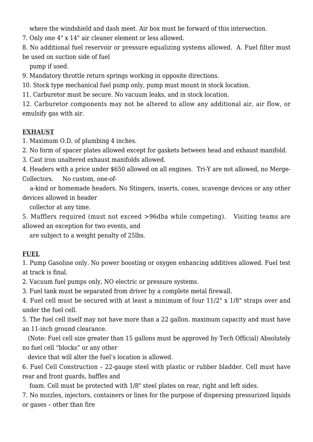where the windshield and dash meet. Air box must be forward of this intersection.

7. Only one 4" x 14" air cleaner element or less allowed.

8. No additional fuel reservoir or pressure equalizing systems allowed. A. Fuel filter must be used on suction side of fuel

pump if used.

9. Mandatory throttle return springs working in opposite directions.

10. Stock type mechanical fuel pump only, pump must mount in stock location.

11. Carburetor must be secure. No vacuum leaks, and in stock location.

12. Carburetor components may not be altered to allow any additional air, air flow, or emulsify gas with air.

#### **EXHAUST**

1. Maximum O.D. of plumbing 4 inches.

2. No form of spacer plates allowed except for gaskets between head and exhaust manifold.

3. Cast iron unaltered exhaust manifolds allowed.

4. Headers with a price under \$650 allowed on all engines. Tri-Y are not allowed, no Merge-Collectors. No custom, one-of-

 a-kind or homemade headers. No Stingers, inserts, cones, scavenge devices or any other devices allowed in header

collector at any time.

5. Mufflers required (must not exceed >96dba while competing). Visiting teams are allowed an exception for two events, and

are subject to a weight penalty of 25lbs.

## **FUEL**

1. Pump Gasoline only. No power boosting or oxygen enhancing additives allowed. Fuel test at track is final.

2. Vacuum fuel pumps only, NO electric or pressure systems.

3. Fuel tank must be separated from driver by a complete metal firewall.

4. Fuel cell must be secured with at least a minimum of four 11/2" x 1/8" straps over and under the fuel cell.

5. The fuel cell itself may not have more than a 22 gallon. maximum capacity and must have an 11-inch ground clearance.

 (Note: Fuel cell size greater than 15 gallons must be approved by Tech Official) Absolutely no fuel cell "blocks" or any other

device that will alter the fuel's location is allowed.

6. Fuel Cell Construction – 22-gauge steel with plastic or rubber bladder. Cell must have rear and front guards, baffles and

foam. Cell must be protected with 1/8" steel plates on rear, right and left sides.

7. No nozzles, injectors, containers or lines for the purpose of dispersing pressurized liquids or gases – other than fire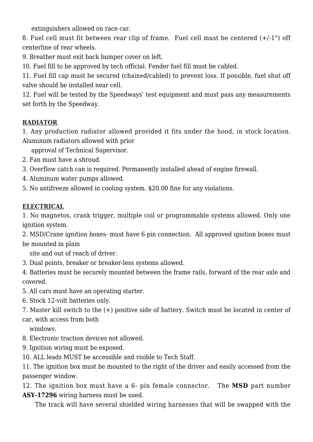extinguishers allowed on race car.

8. Fuel cell must fit between rear clip of frame. Fuel cell must be centered (+/-1") off centerline of rear wheels.

9. Breather must exit back bumper cover on left.

10. Fuel fill to be approved by tech official. Fender fuel fill must be cabled.

11. Fuel fill cap must be secured (chained/cabled) to prevent loss. If possible, fuel shut off valve should be installed near cell.

12. Fuel will be tested by the Speedways' test equipment and must pass any measurements set forth by the Speedway.

## **RADIATOR**

1. Any production radiator allowed provided it fits under the hood, in stock location. Aluminum radiators allowed with prior

approval of Technical Supervisor.

- 2. Fan must have a shroud.
- 3. Overflow catch can is required. Permanently installed ahead of engine firewall.
- 4. Aluminum water pumps allowed.

5. No antifreeze allowed in cooling system. \$20.00 fine for any violations.

## **ELECTRICAL**

1. No magnetos, crank trigger, multiple coil or programmable systems allowed. Only one ignition system.

2. MSD/Crane ignition boxes- must have 6 pin connection. All approved ignition boxes must be mounted in plain

site and out of reach of driver.

3. Dual points, breaker or breaker-less systems allowed.

4. Batteries must be securely mounted between the frame rails, forward of the rear axle and covered.

- 5. All cars must have an operating starter.
- 6. Stock 12-volt batteries only.

7. Master kill switch to the (+) positive side of battery. Switch must be located in center of car, with access from both

windows.

- 8. Electronic traction devices not allowed.
- 9. Ignition wiring must be exposed.
- 10. ALL leads MUST be accessible and visible to Tech Staff.

11. The ignition box must be mounted to the right of the driver and easily accessed from the passenger window.

12. The ignition box must have a 6- pin female connector. The **MSD** part number **ASY-17296** wiring harness must be used.

The track will have several shielded wiring harnesses that will be swapped with the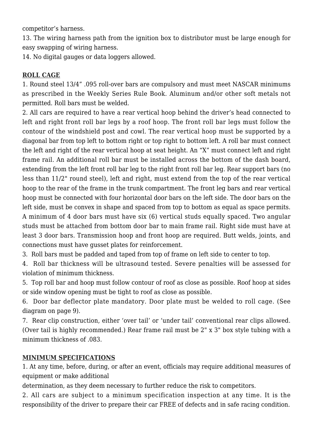competitor's harness.

13. The wiring harness path from the ignition box to distributor must be large enough for easy swapping of wiring harness.

14. No digital gauges or data loggers allowed.

#### **ROLL CAGE**

1. Round steel 13/4" .095 roll-over bars are compulsory and must meet NASCAR minimums as prescribed in the Weekly Series Rule Book. Aluminum and/or other soft metals not permitted. Roll bars must be welded.

2. All cars are required to have a rear vertical hoop behind the driver's head connected to left and right front roll bar legs by a roof hoop. The front roll bar legs must follow the contour of the windshield post and cowl. The rear vertical hoop must be supported by a diagonal bar from top left to bottom right or top right to bottom left. A roll bar must connect the left and right of the rear vertical hoop at seat height. An "X" must connect left and right frame rail. An additional roll bar must be installed across the bottom of the dash board, extending from the left front roll bar leg to the right front roll bar leg. Rear support bars (no less than 11/2" round steel), left and right, must extend from the top of the rear vertical hoop to the rear of the frame in the trunk compartment. The front leg bars and rear vertical hoop must be connected with four horizontal door bars on the left side. The door bars on the left side, must be convex in shape and spaced from top to bottom as equal as space permits. A minimum of 4 door bars must have six (6) vertical studs equally spaced. Two angular studs must be attached from bottom door bar to main frame rail. Right side must have at least 3 door bars. Transmission hoop and front hoop are required. Butt welds, joints, and connections must have gusset plates for reinforcement.

3. Roll bars must be padded and taped from top of frame on left side to center to top.

4. Roll bar thickness will be ultrasound tested. Severe penalties will be assessed for violation of minimum thickness.

5. Top roll bar and hoop must follow contour of roof as close as possible. Roof hoop at sides or side window opening must be tight to roof as close as possible.

6. Door bar deflector plate mandatory. Door plate must be welded to roll cage. (See diagram on page 9).

7. Rear clip construction, either 'over tail' or 'under tail' conventional rear clips allowed. (Over tail is highly recommended.) Rear frame rail must be 2" x 3" box style tubing with a minimum thickness of .083.

#### **MINIMUM SPECIFICATIONS**

1. At any time, before, during, or after an event, officials may require additional measures of equipment or make additional

determination, as they deem necessary to further reduce the risk to competitors.

2. All cars are subject to a minimum specification inspection at any time. It is the responsibility of the driver to prepare their car FREE of defects and in safe racing condition.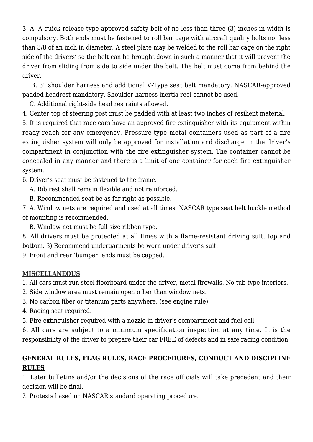3. A. A quick release-type approved safety belt of no less than three (3) inches in width is compulsory. Both ends must be fastened to roll bar cage with aircraft quality bolts not less than 3/8 of an inch in diameter. A steel plate may be welded to the roll bar cage on the right side of the drivers' so the belt can be brought down in such a manner that it will prevent the driver from sliding from side to side under the belt. The belt must come from behind the driver.

 B. 3" shoulder harness and additional V-Type seat belt mandatory. NASCAR-approved padded headrest mandatory. Shoulder harness inertia reel cannot be used.

C. Additional right-side head restraints allowed.

4. Center top of steering post must be padded with at least two inches of resilient material.

5. It is required that race cars have an approved fire extinguisher with its equipment within ready reach for any emergency. Pressure-type metal containers used as part of a fire extinguisher system will only be approved for installation and discharge in the driver's compartment in conjunction with the fire extinguisher system. The container cannot be concealed in any manner and there is a limit of one container for each fire extinguisher system.

6. Driver's seat must be fastened to the frame.

A. Rib rest shall remain flexible and not reinforced.

B. Recommended seat be as far right as possible.

7. A. Window nets are required and used at all times. NASCAR type seat belt buckle method of mounting is recommended.

B. Window net must be full size ribbon type.

8. All drivers must be protected at all times with a flame-resistant driving suit, top and bottom. 3) Recommend undergarments be worn under driver's suit.

9. Front and rear 'bumper' ends must be capped.

## **MISCELLANEOUS**

1. All cars must run steel floorboard under the driver, metal firewalls. No tub type interiors.

- 2. Side window area must remain open other than window nets.
- 3. No carbon fiber or titanium parts anywhere. (see engine rule)
- 4. Racing seat required.

5. Fire extinguisher required with a nozzle in driver's compartment and fuel cell.

6. All cars are subject to a minimum specification inspection at any time. It is the responsibility of the driver to prepare their car FREE of defects and in safe racing condition.

## **GENERAL RULES, FLAG RULES, RACE PROCEDURES, CONDUCT AND DISCIPLINE RULES**

1. Later bulletins and/or the decisions of the race officials will take precedent and their decision will be final.

2. Protests based on NASCAR standard operating procedure.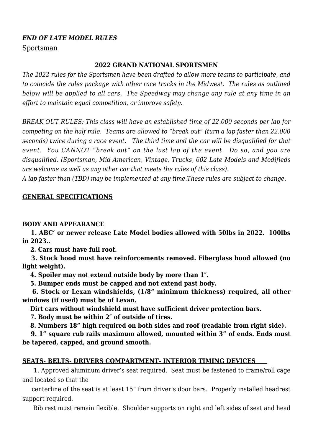#### *END OF LATE MODEL RULES*

Sportsman

#### **2022 GRAND NATIONAL SPORTSMEN**

*The 2022 rules for the Sportsmen have been drafted to allow more teams to participate, and to coincide the rules package with other race tracks in the Midwest. The rules as outlined below will be applied to all cars. The Speedway may change any rule at any time in an effort to maintain equal competition, or improve safety.* 

*BREAK OUT RULES: This class will have an established time of 22.000 seconds per lap for competing on the half mile. Teams are allowed to "break out" (turn a lap faster than 22.000 seconds) twice during a race event. The third time and the car will be disqualified for that event. You CANNOT "break out" on the last lap of the event. Do so, and you are disqualified. (Sportsman, Mid-American, Vintage, Trucks, 602 Late Models and Modifieds are welcome as well as any other car that meets the rules of this class).*

*A lap faster than (TBD) may be implemented at any time.These rules are subject to change.*

#### **GENERAL SPECIFICATIONS**

#### **BODY AND APPEARANCE**

 **1. ABC' or newer release Late Model bodies allowed with 50lbs in 2022. 100lbs in 2023..** 

 **2. Cars must have full roof.** 

 **3. Stock hood must have reinforcements removed. Fiberglass hood allowed (no light weight).**

 **4. Spoiler may not extend outside body by more than 1″.**

 **5. Bumper ends must be capped and not extend past body.**

 **6. Stock or Lexan windshields, (1/8" minimum thickness) required, all other windows (if used) must be of Lexan.** 

 **Dirt cars without windshield must have sufficient driver protection bars.**

 **7. Body must be within 2″ of outside of tires.**

 **8. Numbers 18" high required on both sides and roof (readable from right side).**

 **9. 1" square rub rails maximum allowed, mounted within 3" of ends. Ends must be tapered, capped, and ground smooth.**

#### **SEATS- BELTS- DRIVERS COMPARTMENT- INTERIOR TIMING DEVICES**

 1. Approved aluminum driver's seat required. Seat must be fastened to frame/roll cage and located so that the

 centerline of the seat is at least 15" from driver's door bars. Properly installed headrest support required.

Rib rest must remain flexible. Shoulder supports on right and left sides of seat and head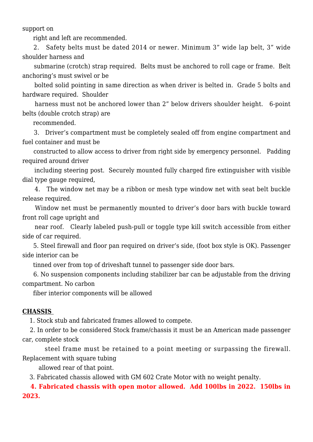support on

right and left are recommended.

 2. Safety belts must be dated 2014 or newer. Minimum 3" wide lap belt, 3" wide shoulder harness and

 submarine (crotch) strap required. Belts must be anchored to roll cage or frame. Belt anchoring's must swivel or be

 bolted solid pointing in same direction as when driver is belted in. Grade 5 bolts and hardware required. Shoulder

harness must not be anchored lower than 2" below drivers shoulder height. 6-point belts (double crotch strap) are

recommended.

 3. Driver's compartment must be completely sealed off from engine compartment and fuel container and must be

 constructed to allow access to driver from right side by emergency personnel. Padding required around driver

 including steering post. Securely mounted fully charged fire extinguisher with visible dial type gauge required,

 4. The window net may be a ribbon or mesh type window net with seat belt buckle release required.

 Window net must be permanently mounted to driver's door bars with buckle toward front roll cage upright and

near roof. Clearly labeled push-pull or toggle type kill switch accessible from either side of car required.

 5. Steel firewall and floor pan required on driver's side, (foot box style is OK). Passenger side interior can be

tinned over from top of driveshaft tunnel to passenger side door bars.

 6. No suspension components including stabilizer bar can be adjustable from the driving compartment. No carbon

fiber interior components will be allowed

#### **CHASSIS**

1. Stock stub and fabricated frames allowed to compete.

 2. In order to be considered Stock frame/chassis it must be an American made passenger car, complete stock

 steel frame must be retained to a point meeting or surpassing the firewall. Replacement with square tubing

allowed rear of that point.

3. Fabricated chassis allowed with GM 602 Crate Motor with no weight penalty.

 **4. Fabricated chassis with open motor allowed. Add 100lbs in 2022. 150lbs in 2023.**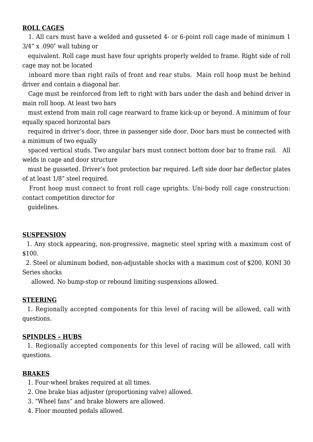#### **ROLL CAGES**

 1. All cars must have a welded and gusseted 4- or 6-point roll cage made of minimum 1 3/4" x .090″ wall tubing or

 equivalent. Roll cage must have four uprights properly welded to frame. Right side of roll cage may not be located

 inboard more than right rails of front and rear stubs. Main roll hoop must be behind driver and contain a diagonal bar.

 Cage must be reinforced from left to right with bars under the dash and behind driver in main roll hoop. At least two bars

 must extend from main roll cage rearward to frame kick-up or beyond. A minimum of four equally spaced horizontal bars

 required in driver's door, three in passenger side door. Door bars must be connected with a minimum of two equally

 spaced vertical studs. Two angular bars must connect bottom door bar to frame rail. All welds in cage and door structure

 must be gusseted. Driver's foot protection bar required. Left side door bar deflector plates of at least 1/8" steel required.

 Front hoop must connect to front roll cage uprights. Uni-body roll cage construction: contact competition director for

guidelines.

#### **SUSPENSION**

 1. Any stock appearing, non-progressive, magnetic steel spring with a maximum cost of \$100.

 2. Steel or aluminum bodied, non-adjustable shocks with a maximum cost of \$200, KONI 30 Series shocks

allowed. No bump-stop or rebound limiting suspensions allowed.

#### **STEERING**

 1. Regionally accepted components for this level of racing will be allowed, call with questions.

#### **SPINDLES – HUBS**

 1. Regionally accepted components for this level of racing will be allowed, call with questions.

#### **BRAKES**

- 1. Four-wheel brakes required at all times.
- 2. One brake bias adjuster (proportioning valve) allowed.
- 3. "Wheel fans" and brake blowers are allowed.
- 4. Floor mounted pedals allowed.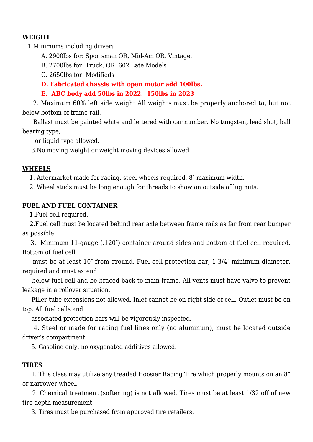#### **WEIGHT**

1 Minimums including driver:

A. 2900lbs for: Sportsman OR, Mid-Am OR, Vintage.

B. 2700lbs for: Truck, OR 602 Late Models

C. 2650lbs for: Modifieds

**D. Fabricated chassis with open motor add 100lbs.**

**E. ABC body add 50lbs in 2022. 150lbs in 2023**

 2. Maximum 60% left side weight All weights must be properly anchored to, but not below bottom of frame rail.

 Ballast must be painted white and lettered with car number. No tungsten, lead shot, ball bearing type,

or liquid type allowed.

3.No moving weight or weight moving devices allowed.

#### **WHEELS**

1. Aftermarket made for racing, steel wheels required, 8″ maximum width.

2. Wheel studs must be long enough for threads to show on outside of lug nuts.

#### **FUEL AND FUEL CONTAINER**

1.Fuel cell required.

 2.Fuel cell must be located behind rear axle between frame rails as far from rear bumper as possible.

 3. Minimum 11-gauge (.120″) container around sides and bottom of fuel cell required. Bottom of fuel cell

 must be at least 10″ from ground. Fuel cell protection bar, 1 3/4″ minimum diameter, required and must extend

 below fuel cell and be braced back to main frame. All vents must have valve to prevent leakage in a rollover situation.

 Filler tube extensions not allowed. Inlet cannot be on right side of cell. Outlet must be on top. All fuel cells and

associated protection bars will be vigorously inspected.

 4. Steel or made for racing fuel lines only (no aluminum), must be located outside driver's compartment.

5. Gasoline only, no oxygenated additives allowed.

## **TIRES**

 1. This class may utilize any treaded Hoosier Racing Tire which properly mounts on an 8" or narrower wheel.

 2. Chemical treatment (softening) is not allowed. Tires must be at least 1/32 off of new tire depth measurement

3. Tires must be purchased from approved tire retailers.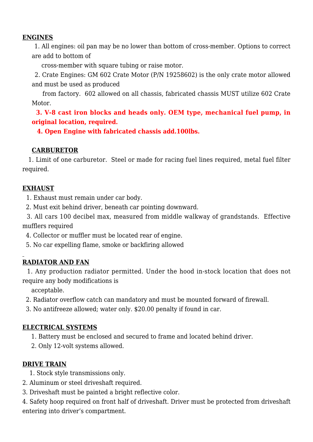#### **ENGINES**

 1. All engines: oil pan may be no lower than bottom of cross-member. Options to correct are add to bottom of

cross-member with square tubing or raise motor.

 2. Crate Engines: GM 602 Crate Motor (P/N 19258602) is the only crate motor allowed and must be used as produced

 from factory. 602 allowed on all chassis, fabricated chassis MUST utilize 602 Crate Motor.

 **3. V-8 cast iron blocks and heads only. OEM type, mechanical fuel pump, in original location, required.**

 **4. Open Engine with fabricated chassis add.100lbs.**

#### **CARBURETOR**

 1. Limit of one carburetor. Steel or made for racing fuel lines required, metal fuel filter required.

#### **EXHAUST**

1. Exhaust must remain under car body.

2. Must exit behind driver, beneath car pointing downward.

 3. All cars 100 decibel max, measured from middle walkway of grandstands. Effective mufflers required

4. Collector or muffler must be located rear of engine.

5. No car expelling flame, smoke or backfiring allowed

## **RADIATOR AND FAN**

 1. Any production radiator permitted. Under the hood in-stock location that does not require any body modifications is

acceptable.

2. Radiator overflow catch can mandatory and must be mounted forward of firewall.

3. No antifreeze allowed; water only. \$20.00 penalty if found in car.

#### **ELECTRICAL SYSTEMS**

1. Battery must be enclosed and secured to frame and located behind driver.

2. Only 12-volt systems allowed.

#### **DRIVE TRAIN**

1. Stock style transmissions only.

2. Aluminum or steel driveshaft required.

3. Driveshaft must be painted a bright reflective color.

4. Safety hoop required on front half of driveshaft. Driver must be protected from driveshaft entering into driver's compartment.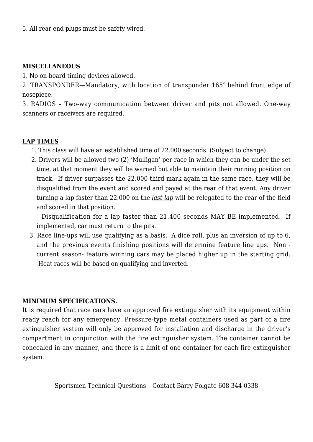5. All rear end plugs must be safety wired.

#### **MISCELLANEOUS**

1. No on-board timing devices allowed.

2. TRANSPONDER—Mandatory, with location of transponder 165″ behind front edge of nosepiece.

3. RADIOS – Two-way communication between driver and pits not allowed. One-way scanners or raceivers are required.

#### **LAP TIMES**

- 1. This class will have an established time of 22.000 seconds. (Subject to change)
- 2. Drivers will be allowed two (2) 'Mulligan' per race in which they can be under the set time, at that moment they will be warned but able to maintain their running position on track. If driver surpasses the 22.000 third mark again in the same race, they will be disqualified from the event and scored and payed at the rear of that event. Any driver turning a lap faster than 22.000 on the *last lap* will be relegated to the rear of the field and scored in that position.

 Disqualification for a lap faster than 21.400 seconds MAY BE implemented. If implemented, car must return to the pits.

3. Race line-ups will use qualifying as a basis. A dice roll, plus an inversion of up to 6, and the previous events finishing positions will determine feature line ups. Non current season- feature winning cars may be placed higher up in the starting grid. Heat races will be based on qualifying and inverted.

#### **MINIMUM SPECIFICATIONS.**

It is required that race cars have an approved fire extinguisher with its equipment within ready reach for any emergency. Pressure-type metal containers used as part of a fire extinguisher system will only be approved for installation and discharge in the driver's compartment in conjunction with the fire extinguisher system. The container cannot be concealed in any manner, and there is a limit of one container for each fire extinguisher system.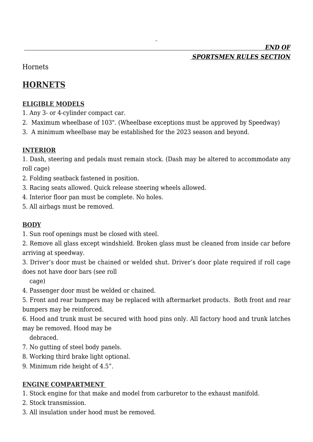# *END OF SPORTSMEN RULES SECTION*

Hornets

# **HORNETS**

## **ELIGIBLE MODELS**

- 1. Any 3- or 4-cylinder compact car.
- 2. Maximum wheelbase of 103". (Wheelbase exceptions must be approved by Speedway)
- 3. A minimum wheelbase may be established for the 2023 season and beyond.

#### **INTERIOR**

1. Dash, steering and pedals must remain stock. (Dash may be altered to accommodate any roll cage)

- 2. Folding seatback fastened in position.
- 3. Racing seats allowed. Quick release steering wheels allowed.
- 4. Interior floor pan must be complete. No holes.
- 5. All airbags must be removed.

## **BODY**

- 1. Sun roof openings must be closed with steel.
- 2. Remove all glass except windshield. Broken glass must be cleaned from inside car before arriving at speedway.
- 3. Driver's door must be chained or welded shut. Driver's door plate required if roll cage does not have door bars (see roll

cage)

- 4. Passenger door must be welded or chained.
- 5. Front and rear bumpers may be replaced with aftermarket products. Both front and rear bumpers may be reinforced.
- 6. Hood and trunk must be secured with hood pins only. All factory hood and trunk latches may be removed. Hood may be

debraced.

- 7. No gutting of steel body panels.
- 8. Working third brake light optional.
- 9. Minimum ride height of 4.5".

#### **ENGINE COMPARTMENT**

- 1. Stock engine for that make and model from carburetor to the exhaust manifold.
- 2. Stock transmission.
- 3. All insulation under hood must be removed.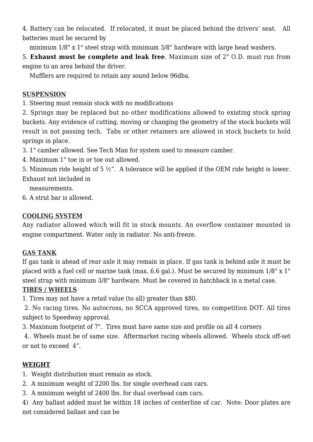4. Battery can be relocated. If relocated, it must be placed behind the drivers' seat. All batteries must be secured by

minimum 1/8" x 1" steel strap with minimum 3/8" hardware with large head washers.

5. **Exhaust must be complete and leak free**. Maximum size of 2" O.D. must run from engine to an area behind the driver.

Mufflers are required to retain any sound below 96dba.

## **SUSPENSION**

1. Steering must remain stock with no modifications

2. Springs may be replaced but no other modifications allowed to existing stock spring buckets. Any evidence of cutting, moving or changing the geometry of the stock buckets will result in not passing tech. Tabs or other retainers are allowed in stock buckets to hold springs in place.

3. 1" camber allowed. See Tech Man for system used to measure camber.

4. Maximum 1" toe in or toe out allowed.

5. Minimum ride height of 5 ½". A tolerance will be applied if the OEM ride height is lower. Exhaust not included in

measurements.

6. A strut bar is allowed.

## **COOLING SYSTEM**

Any radiator allowed which will fit in stock mounts. An overflow container mounted in engine compartment. Water only in radiator. No anti-freeze.

## **GAS TANK**

If gas tank is ahead of rear axle it may remain in place. If gas tank is behind axle it must be placed with a fuel cell or marine tank (max. 6.6 gal.). Must be secured by minimum 1/8" x 1" steel strap with minimum 3/8" hardware. Must be covered in hatchback in a metal case.

## **TIRES / WHEELS**

1. Tires may not have a retail value (to all) greater than \$80.

 2. No racing tires. No autocross, no SCCA approved tires, no competition DOT. All tires subject to Speedway approval.

3. Maximum footprint of 7". Tires must have same size and profile on all 4 corners

 4.. Wheels must be of same size. Aftermarket racing wheels allowed. Wheels stock off-set or not to exceed 4".

## **WEIGHT**

- 1. Weight distribution must remain as stock.
- 2. A minimum weight of 2200 lbs. for single overhead cam cars.
- 3. A minimum weight of 2400 lbs. for dual overhead cam cars.

4) Any ballast added must be within 18 inches of centerline of car. Note: Door plates are not considered ballast and can be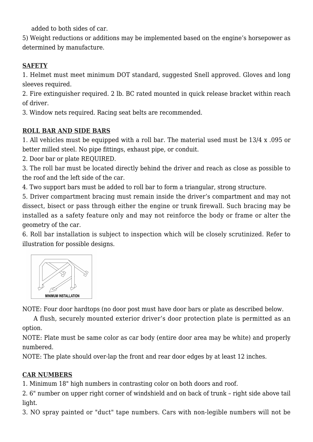added to both sides of car.

5) Weight reductions or additions may be implemented based on the engine's horsepower as determined by manufacture.

## **SAFETY**

1. Helmet must meet minimum DOT standard, suggested Snell approved. Gloves and long sleeves required.

2. Fire extinguisher required. 2 lb. BC rated mounted in quick release bracket within reach of driver.

3. Window nets required. Racing seat belts are recommended.

## **ROLL BAR AND SIDE BARS**

1. All vehicles must be equipped with a roll bar. The material used must be 13/4 x .095 or better milled steel. No pipe fittings, exhaust pipe, or conduit.

2. Door bar or plate REQUIRED.

3. The roll bar must be located directly behind the driver and reach as close as possible to the roof and the left side of the car.

4. Two support bars must be added to roll bar to form a triangular, strong structure.

5. Driver compartment bracing must remain inside the driver's compartment and may not dissect, bisect or pass through either the engine or trunk firewall. Such bracing may be installed as a safety feature only and may not reinforce the body or frame or alter the geometry of the car.

6. Roll bar installation is subject to inspection which will be closely scrutinized. Refer to illustration for possible designs.



NOTE: Four door hardtops (no door post must have door bars or plate as described below.

 A flush, securely mounted exterior driver's door protection plate is permitted as an option.

NOTE: Plate must be same color as car body (entire door area may be white) and properly numbered.

NOTE: The plate should over-lap the front and rear door edges by at least 12 inches.

## **CAR NUMBERS**

1. Minimum 18" high numbers in contrasting color on both doors and roof.

2. 6" number on upper right corner of windshield and on back of trunk – right side above tail light.

3. NO spray painted or "duct" tape numbers. Cars with non-legible numbers will not be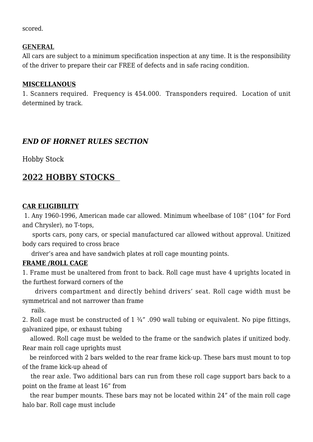scored.

#### **GENERAL**

All cars are subject to a minimum specification inspection at any time. It is the responsibility of the driver to prepare their car FREE of defects and in safe racing condition.

#### **MISCELLANOUS**

1. Scanners required. Frequency is 454.000. Transponders required. Location of unit determined by track.

## *END OF HORNET RULES SECTION*

Hobby Stock

# **2022 HOBBY STOCKS**

## **CAR ELIGIBILITY**

 1. Any 1960-1996, American made car allowed. Minimum wheelbase of 108" (104" for Ford and Chrysler), no T-tops,

 sports cars, pony cars, or special manufactured car allowed without approval. Unitized body cars required to cross brace

driver's area and have sandwich plates at roll cage mounting points.

#### **FRAME /ROLL CAGE**

1. Frame must be unaltered from front to back. Roll cage must have 4 uprights located in the furthest forward corners of the

 drivers compartment and directly behind drivers' seat. Roll cage width must be symmetrical and not narrower than frame

rails.

2. Roll cage must be constructed of 1 ¾" .090 wall tubing or equivalent. No pipe fittings, galvanized pipe, or exhaust tubing

 allowed. Roll cage must be welded to the frame or the sandwich plates if unitized body. Rear main roll cage uprights must

 be reinforced with 2 bars welded to the rear frame kick-up. These bars must mount to top of the frame kick-up ahead of

 the rear axle. Two additional bars can run from these roll cage support bars back to a point on the frame at least 16" from

 the rear bumper mounts. These bars may not be located within 24" of the main roll cage halo bar. Roll cage must include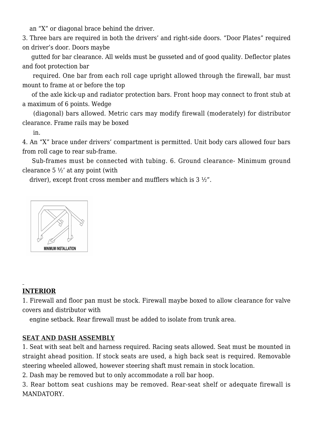an "X" or diagonal brace behind the driver.

3. Three bars are required in both the drivers' and right-side doors. "Door Plates" required on driver's door. Doors maybe

 gutted for bar clearance. All welds must be gusseted and of good quality. Deflector plates and foot protection bar

 required. One bar from each roll cage upright allowed through the firewall, bar must mount to frame at or before the top

 of the axle kick-up and radiator protection bars. Front hoop may connect to front stub at a maximum of 6 points. Wedge

 (diagonal) bars allowed. Metric cars may modify firewall (moderately) for distributor clearance. Frame rails may be boxed

in.

4. An "X" brace under drivers' compartment is permitted. Unit body cars allowed four bars from roll cage to rear sub-frame.

 Sub-frames must be connected with tubing. 6. Ground clearance- Minimum ground clearance 5 ½' at any point (with

driver), except front cross member and mufflers which is 3 ½".



# **INTERIOR**

1. Firewall and floor pan must be stock. Firewall maybe boxed to allow clearance for valve covers and distributor with

engine setback. Rear firewall must be added to isolate from trunk area.

## **SEAT AND DASH ASSEMBLY**

1. Seat with seat belt and harness required. Racing seats allowed. Seat must be mounted in straight ahead position. If stock seats are used, a high back seat is required. Removable steering wheeled allowed, however steering shaft must remain in stock location.

2. Dash may be removed but to only accommodate a roll bar hoop.

3. Rear bottom seat cushions may be removed. Rear-seat shelf or adequate firewall is MANDATORY.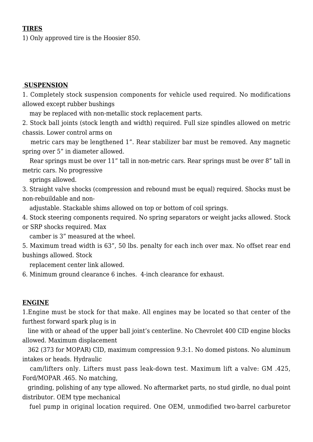#### **TIRES**

1) Only approved tire is the Hoosier 850.

#### **SUSPENSION**

1. Completely stock suspension components for vehicle used required. No modifications allowed except rubber bushings

may be replaced with non-metallic stock replacement parts.

2. Stock ball joints (stock length and width) required. Full size spindles allowed on metric chassis. Lower control arms on

 metric cars may be lengthened 1". Rear stabilizer bar must be removed. Any magnetic spring over 5" in diameter allowed.

 Rear springs must be over 11" tall in non-metric cars. Rear springs must be over 8" tall in metric cars. No progressive

springs allowed.

3. Straight valve shocks (compression and rebound must be equal) required. Shocks must be non-rebuildable and non-

adjustable. Stackable shims allowed on top or bottom of coil springs.

4. Stock steering components required. No spring separators or weight jacks allowed. Stock or SRP shocks required. Max

camber is 3" measured at the wheel.

5. Maximum tread width is 63", 50 lbs. penalty for each inch over max. No offset rear end bushings allowed. Stock

replacement center link allowed.

6. Minimum ground clearance 6 inches. 4-inch clearance for exhaust.

#### **ENGINE**

1.Engine must be stock for that make. All engines may be located so that center of the furthest forward spark plug is in

 line with or ahead of the upper ball joint's centerline. No Chevrolet 400 CID engine blocks allowed. Maximum displacement

 362 (373 for MOPAR) CID, maximum compression 9.3:1. No domed pistons. No aluminum intakes or heads. Hydraulic

 cam/lifters only. Lifters must pass leak-down test. Maximum lift a valve: GM .425, Ford/MOPAR .465. No matching,

 grinding, polishing of any type allowed. No aftermarket parts, no stud girdle, no dual point distributor. OEM type mechanical

fuel pump in original location required. One OEM, unmodified two-barrel carburetor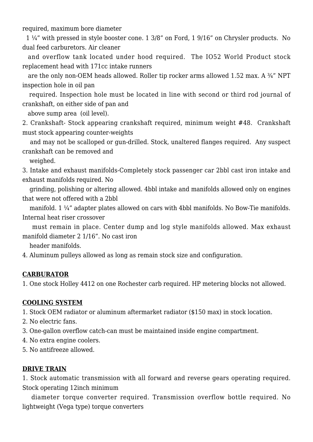required, maximum bore diameter

 1 ¼" with pressed in style booster cone. 1 3/8" on Ford, 1 9/16" on Chrysler products. No dual feed carburetors. Air cleaner

 and overflow tank located under hood required. The IO52 World Product stock replacement head with 171cc intake runners

 are the only non-OEM heads allowed. Roller tip rocker arms allowed 1.52 max. A ¾" NPT inspection hole in oil pan

 required. Inspection hole must be located in line with second or third rod journal of crankshaft, on either side of pan and

above sump area (oil level).

2. Crankshaft- Stock appearing crankshaft required, minimum weight #48. Crankshaft must stock appearing counter-weights

 and may not be scalloped or gun-drilled. Stock, unaltered flanges required. Any suspect crankshaft can be removed and

weighed.

3. Intake and exhaust manifolds-Completely stock passenger car 2bbl cast iron intake and exhaust manifolds required. No

 grinding, polishing or altering allowed. 4bbl intake and manifolds allowed only on engines that were not offered with a 2bbl

 manifold. 1 ¼" adapter plates allowed on cars with 4bbl manifolds. No Bow-Tie manifolds. Internal heat riser crossover

 must remain in place. Center dump and log style manifolds allowed. Max exhaust manifold diameter 2 1/16". No cast iron

header manifolds.

4. Aluminum pulleys allowed as long as remain stock size and configuration.

#### **CARBURATOR**

1. One stock Holley 4412 on one Rochester carb required. HP metering blocks not allowed.

#### **COOLING SYSTEM**

1. Stock OEM radiator or aluminum aftermarket radiator (\$150 max) in stock location.

- 2. No electric fans.
- 3. One-gallon overflow catch-can must be maintained inside engine compartment.
- 4. No extra engine coolers.
- 5. No antifreeze allowed.

#### **DRIVE TRAIN**

1. Stock automatic transmission with all forward and reverse gears operating required. Stock operating 12inch minimum

 diameter torque converter required. Transmission overflow bottle required. No lightweight (Vega type) torque converters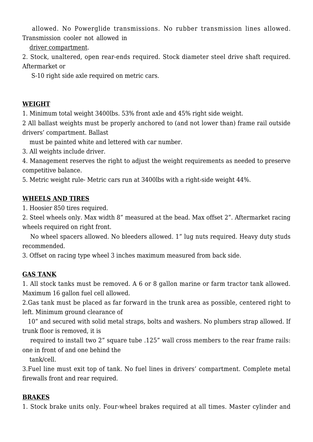allowed. No Powerglide transmissions. No rubber transmission lines allowed. Transmission cooler not allowed in

driver compartment.

2. Stock, unaltered, open rear-ends required. Stock diameter steel drive shaft required. Aftermarket or

S-10 right side axle required on metric cars.

## **WEIGHT**

1. Minimum total weight 3400lbs. 53% front axle and 45% right side weight.

2 All ballast weights must be properly anchored to (and not lower than) frame rail outside drivers' compartment. Ballast

must be painted white and lettered with car number.

3. All weights include driver.

4. Management reserves the right to adjust the weight requirements as needed to preserve competitive balance.

5. Metric weight rule- Metric cars run at 3400lbs with a right-side weight 44%.

## **WHEELS AND TIRES**

1. Hoosier 850 tires required.

2. Steel wheels only. Max width 8" measured at the bead. Max offset 2". Aftermarket racing wheels required on right front.

 No wheel spacers allowed. No bleeders allowed. 1" lug nuts required. Heavy duty studs recommended.

3. Offset on racing type wheel 3 inches maximum measured from back side.

## **GAS TANK**

1. All stock tanks must be removed. A 6 or 8 gallon marine or farm tractor tank allowed. Maximum 16 gallon fuel cell allowed.

2.Gas tank must be placed as far forward in the trunk area as possible, centered right to left. Minimum ground clearance of

 10" and secured with solid metal straps, bolts and washers. No plumbers strap allowed. If trunk floor is removed, it is

 required to install two 2" square tube .125" wall cross members to the rear frame rails: one in front of and one behind the

tank/cell.

3.Fuel line must exit top of tank. No fuel lines in drivers' compartment. Complete metal firewalls front and rear required.

## **BRAKES**

1. Stock brake units only. Four-wheel brakes required at all times. Master cylinder and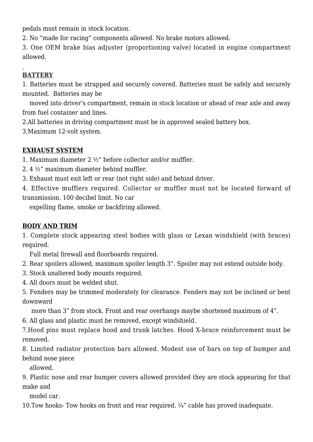pedals must remain in stock location.

2. No "made for racing" components allowed. No brake motors allowed.

3. One OEM brake bias adjuster (proportioning valve) located in engine compartment allowed.

## **BATTERY**

1. Batteries must be strapped and securely covered. Batteries must be safely and securely mounted. Batteries may be

 moved into driver's compartment, remain in stock location or ahead of rear axle and away from fuel container and lines.

2.All batteries in driving compartment must be in approved sealed battery box.

3.Maximum 12-volt system.

## **EXHAUST SYSTEM**

1. Maximum diameter 2 ½" before collector and/or muffler.

- 2. 4 ½" maximum diameter behind muffler.
- 3. Exhaust must exit left or rear (not right side) and behind driver.

4. Effective mufflers required. Collector or muffler must not be located forward of transmission. 100 decibel limit. No car

expelling flame, smoke or backfiring allowed.

## **BODY AND TRIM**

1. Complete stock appearing steel bodies with glass or Lexan windshield (with braces) required.

Full metal firewall and floorboards required.

- 2. Rear spoilers allowed, maximum spoiler length 3". Spoiler may not extend outside body.
- 3. Stock unaltered body mounts required.
- 4. All doors must be welded shut.

5. Fenders may be trimmed moderately for clearance. Fenders may not be inclined or bent downward

more than 3" from stock. Front and rear overhangs maybe shortened maximum of 4".

6. All glass and plastic must be removed, except windshield.

7.Hood pins must replace hood and trunk latches. Hood X-brace reinforcement must be removed.

8. Limited radiator protection bars allowed. Modest use of bars on top of bumper and behind nose piece

allowed.

9. Plastic nose and rear bumper covers allowed provided they are stock appearing for that make and

model car.

10.Tow hooks- Tow hooks on front and rear required. ¼" cable has proved inadequate.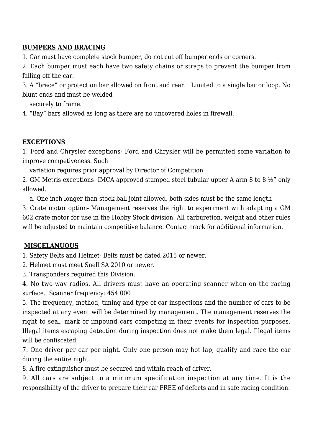#### **BUMPERS AND BRACING**

1. Car must have complete stock bumper, do not cut off bumper ends or corners.

2. Each bumper must each have two safety chains or straps to prevent the bumper from falling off the car.

3. A "brace" or protection bar allowed on front and rear. Limited to a single bar or loop. No blunt ends and must be welded

securely to frame.

4. "Bay" bars allowed as long as there are no uncovered holes in firewall.

#### **EXCEPTIONS**

1. Ford and Chrysler exceptions- Ford and Chrysler will be permitted some variation to improve competiveness. Such

variation requires prior approval by Director of Competition.

2. GM Metris exceptions- IMCA approved stamped steel tubular upper A-arm 8 to 8 ½" only allowed.

a. One inch longer than stock ball joint allowed, both sides must be the same length

3. Crate motor option- Management reserves the right to experiment with adapting a GM 602 crate motor for use in the Hobby Stock division. All carburetion, weight and other rules will be adjusted to maintain competitive balance. Contact track for additional information.

## **MISCELANUOUS**

1. Safety Belts and Helmet- Belts must be dated 2015 or newer.

2. Helmet must meet Snell SA 2010 or newer.

3. Transponders required this Division.

4. No two-way radios. All drivers must have an operating scanner when on the racing surface. Scanner frequency: 454.000

5. The frequency, method, timing and type of car inspections and the number of cars to be inspected at any event will be determined by management. The management reserves the right to seal, mark or impound cars competing in their events for inspection purposes. Illegal items escaping detection during inspection does not make them legal. Illegal items will be confiscated.

7. One driver per car per night. Only one person may hot lap, qualify and race the car during the entire night.

8. A fire extinguisher must be secured and within reach of driver.

9. All cars are subject to a minimum specification inspection at any time. It is the responsibility of the driver to prepare their car FREE of defects and in safe racing condition.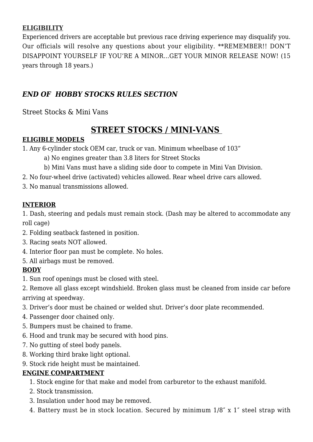## **ELIGIBILITY**

Experienced drivers are acceptable but previous race driving experience may disqualify you. Our officials will resolve any questions about your eligibility. \*\*REMEMBER!! DON'T DISAPPOINT YOURSELF IF YOU'RE A MINOR…GET YOUR MINOR RELEASE NOW! (15 years through 18 years.)

## *END OF HOBBY STOCKS RULES SECTION*

Street Stocks & Mini Vans

# **STREET STOCKS / MINI-VANS**

#### **ELIGIBLE MODELS**

- 1. Any 6-cylinder stock OEM car, truck or van. Minimum wheelbase of 103"
	- a) No engines greater than 3.8 liters for Street Stocks
	- b) Mini Vans must have a sliding side door to compete in Mini Van Division.
- 2. No four-wheel drive (activated) vehicles allowed. Rear wheel drive cars allowed.
- 3. No manual transmissions allowed.

#### **INTERIOR**

1. Dash, steering and pedals must remain stock. (Dash may be altered to accommodate any roll cage)

- 2. Folding seatback fastened in position.
- 3. Racing seats NOT allowed.
- 4. Interior floor pan must be complete. No holes.
- 5. All airbags must be removed.

## **BODY**

1. Sun roof openings must be closed with steel.

2. Remove all glass except windshield. Broken glass must be cleaned from inside car before arriving at speedway.

- 3. Driver's door must be chained or welded shut. Driver's door plate recommended.
- 4. Passenger door chained only.
- 5. Bumpers must be chained to frame.
- 6. Hood and trunk may be secured with hood pins.
- 7. No gutting of steel body panels.
- 8. Working third brake light optional.
- 9. Stock ride height must be maintained.

## **ENGINE COMPARTMENT**

- 1. Stock engine for that make and model from carburetor to the exhaust manifold.
- 2. Stock transmission.
- 3. Insulation under hood may be removed.
- 4. Battery must be in stock location. Secured by minimum 1/8″ x 1″ steel strap with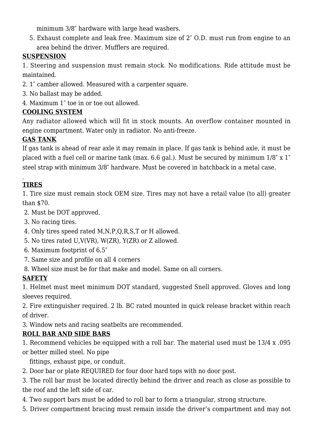minimum 3/8″ hardware with large head washers.

5. Exhaust complete and leak free. Maximum size of 2″ O.D. must run from engine to an area behind the driver. Mufflers are required.

## **SUSPENSION**

1. Steering and suspension must remain stock. No modifications. Ride attitude must be maintained.

- 2. 1″ camber allowed. Measured with a carpenter square.
- 3. No ballast may be added.
- 4. Maximum 1″ toe in or toe out allowed.

## **COOLING SYSTEM**

Any radiator allowed which will fit in stock mounts. An overflow container mounted in engine compartment. Water only in radiator. No anti-freeze.

## **GAS TANK**

If gas tank is ahead of rear axle it may remain in place. If gas tank is behind axle, it must be placed with a fuel cell or marine tank (max. 6.6 gal.). Must be secured by minimum 1/8″ x 1″ steel strap with minimum 3/8″ hardware. Must be covered in hatchback in a metal case.

# **TIRES**

1. Tire size must remain stock OEM size. Tires may not have a retail value (to all) greater than \$70.

2. Must be DOT approved.

- 3. No racing tires.
- 4. Only tires speed rated M,N,P,Q,R,S,T or H allowed.
- 5. No tires rated U,V(VR), W(ZR), Y(ZR) or Z allowed.
- 6. Maximum footprint of 6.5″
- 7. Same size and profile on all 4 corners
- 8. Wheel size must be for that make and model. Same on all corners.

# **SAFETY**

1. Helmet must meet minimum DOT standard, suggested Snell approved. Gloves and long sleeves required.

2. Fire extinguisher required. 2 lb. BC rated mounted in quick release bracket within reach of driver.

3. Window nets and racing seatbelts are recommended.

## **ROLL BAR AND SIDE BARS**

1. Recommend vehicles be equipped with a roll bar. The material used must be 13/4 x .095

or better milled steel. No pipe

fittings, exhaust pipe, or conduit.

2. Door bar or plate REQUIRED for four door hard tops with no door post.

3. The roll bar must be located directly behind the driver and reach as close as possible to the roof and the left side of car.

- 4. Two support bars must be added to roll bar to form a triangular, strong structure.
- 5. Driver compartment bracing must remain inside the driver's compartment and may not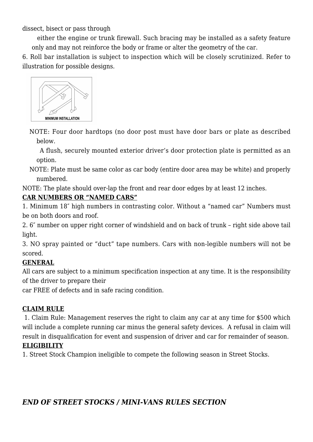dissect, bisect or pass through

 either the engine or trunk firewall. Such bracing may be installed as a safety feature only and may not reinforce the body or frame or alter the geometry of the car.

6. Roll bar installation is subject to inspection which will be closely scrutinized. Refer to illustration for possible designs.



NOTE: Four door hardtops (no door post must have door bars or plate as described below.

 A flush, securely mounted exterior driver's door protection plate is permitted as an option.

NOTE: Plate must be same color as car body (entire door area may be white) and properly numbered.

NOTE: The plate should over-lap the front and rear door edges by at least 12 inches.

## **CAR NUMBERS OR "NAMED CARS"**

1. Minimum 18″ high numbers in contrasting color. Without a "named car" Numbers must be on both doors and roof.

2. 6″ number on upper right corner of windshield and on back of trunk – right side above tail light.

3. NO spray painted or "duct" tape numbers. Cars with non-legible numbers will not be scored.

## **GENERAL**

All cars are subject to a minimum specification inspection at any time. It is the responsibility of the driver to prepare their

car FREE of defects and in safe racing condition.

## **CLAIM RULE**

 1. Claim Rule: Management reserves the right to claim any car at any time for \$500 which will include a complete running car minus the general safety devices. A refusal in claim will result in disqualification for event and suspension of driver and car for remainder of season.

#### **ELIGIBILITY**

1. Street Stock Champion ineligible to compete the following season in Street Stocks.

# *END OF STREET STOCKS / MINI-VANS RULES SECTION*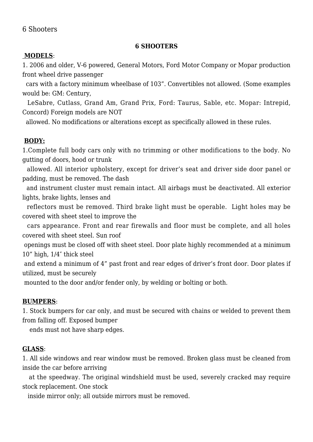#### 6 Shooters

#### **6 SHOOTERS**

#### **MODELS**:

1. 2006 and older, V-6 powered, General Motors, Ford Motor Company or Mopar production front wheel drive passenger

 cars with a factory minimum wheelbase of 103". Convertibles not allowed. (Some examples would be: GM: Century,

 LeSabre, Cutlass, Grand Am, Grand Prix, Ford: Taurus, Sable, etc. Mopar: Intrepid, Concord) Foreign models are NOT

allowed. No modifications or alterations except as specifically allowed in these rules.

#### **BODY:**

1.Complete full body cars only with no trimming or other modifications to the body. No gutting of doors, hood or trunk

 allowed. All interior upholstery, except for driver's seat and driver side door panel or padding, must be removed. The dash

 and instrument cluster must remain intact. All airbags must be deactivated. All exterior lights, brake lights, lenses and

 reflectors must be removed. Third brake light must be operable. Light holes may be covered with sheet steel to improve the

 cars appearance. Front and rear firewalls and floor must be complete, and all holes covered with sheet steel. Sun roof

 openings must be closed off with sheet steel. Door plate highly recommended at a minimum 10" high, 1/4″ thick steel

 and extend a minimum of 4" past front and rear edges of driver's front door. Door plates if utilized, must be securely

mounted to the door and/or fender only, by welding or bolting or both.

#### **BUMPERS**:

1. Stock bumpers for car only, and must be secured with chains or welded to prevent them from falling off. Exposed bumper

ends must not have sharp edges.

#### **GLASS**:

1. All side windows and rear window must be removed. Broken glass must be cleaned from inside the car before arriving

 at the speedway. The original windshield must be used, severely cracked may require stock replacement. One stock

inside mirror only; all outside mirrors must be removed.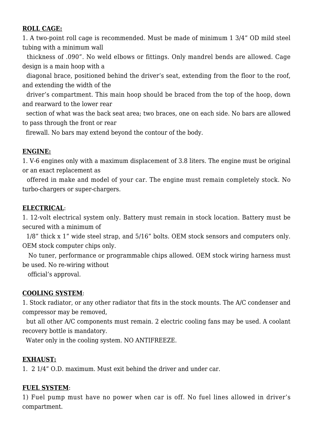#### **ROLL CAGE:**

1. A two-point roll cage is recommended. Must be made of minimum 1 3/4" OD mild steel tubing with a minimum wall

 thickness of .090". No weld elbows or fittings. Only mandrel bends are allowed. Cage design is a main hoop with a

 diagonal brace, positioned behind the driver's seat, extending from the floor to the roof, and extending the width of the

 driver's compartment. This main hoop should be braced from the top of the hoop, down and rearward to the lower rear

 section of what was the back seat area; two braces, one on each side. No bars are allowed to pass through the front or rear

firewall. No bars may extend beyond the contour of the body.

#### **ENGINE:**

1. V-6 engines only with a maximum displacement of 3.8 liters. The engine must be original or an exact replacement as

 offered in make and model of your car. The engine must remain completely stock. No turbo-chargers or super-chargers.

#### **ELECTRICAL**:

1. 12-volt electrical system only. Battery must remain in stock location. Battery must be secured with a minimum of

 1/8" thick x 1" wide steel strap, and 5/16" bolts. OEM stock sensors and computers only. OEM stock computer chips only.

 No tuner, performance or programmable chips allowed. OEM stock wiring harness must be used. No re-wiring without

official's approval.

#### **COOLING SYSTEM**:

1. Stock radiator, or any other radiator that fits in the stock mounts. The A/C condenser and compressor may be removed,

 but all other A/C components must remain. 2 electric cooling fans may be used. A coolant recovery bottle is mandatory.

Water only in the cooling system. NO ANTIFREEZE.

#### **EXHAUST:**

1. 2 1/4" O.D. maximum. Must exit behind the driver and under car.

#### **FUEL SYSTEM**:

1) Fuel pump must have no power when car is off. No fuel lines allowed in driver's compartment.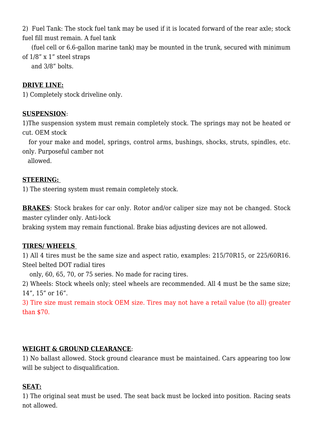2) Fuel Tank: The stock fuel tank may be used if it is located forward of the rear axle; stock fuel fill must remain. A fuel tank

 (fuel cell or 6.6-gallon marine tank) may be mounted in the trunk, secured with minimum of 1/8" x 1" steel straps

and 3/8" bolts.

## **DRIVE LINE:**

1) Completely stock driveline only.

## **SUSPENSION**:

1)The suspension system must remain completely stock. The springs may not be heated or cut. OEM stock

 for your make and model, springs, control arms, bushings, shocks, struts, spindles, etc. only. Purposeful camber not

allowed.

## **STEERING:**

1) The steering system must remain completely stock.

**BRAKES**: Stock brakes for car only. Rotor and/or caliper size may not be changed. Stock master cylinder only. Anti-lock

braking system may remain functional. Brake bias adjusting devices are not allowed.

## **TIRES/ WHEELS**

1) All 4 tires must be the same size and aspect ratio, examples: 215/70R15, or 225/60R16. Steel belted DOT radial tires

only, 60, 65, 70, or 75 series. No made for racing tires.

2) Wheels: Stock wheels only; steel wheels are recommended. All 4 must be the same size; 14", 15" or 16".

3) Tire size must remain stock OEM size. Tires may not have a retail value (to all) greater than \$70.

## **WEIGHT & GROUND CLEARANCE**:

1) No ballast allowed. Stock ground clearance must be maintained. Cars appearing too low will be subject to disqualification.

## **SEAT:**

1) The original seat must be used. The seat back must be locked into position. Racing seats not allowed.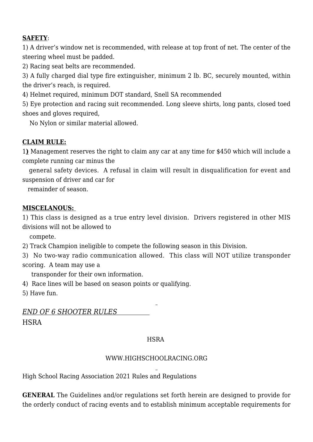## **SAFETY**:

1) A driver's window net is recommended, with release at top front of net. The center of the steering wheel must be padded.

2) Racing seat belts are recommended.

3) A fully charged dial type fire extinguisher, minimum 2 lb. BC, securely mounted, within the driver's reach, is required.

4) Helmet required, minimum DOT standard, Snell SA recommended

5) Eye protection and racing suit recommended. Long sleeve shirts, long pants, closed toed shoes and gloves required,

No Nylon or similar material allowed.

#### **CLAIM RULE:**

1**)** Management reserves the right to claim any car at any time for \$450 which will include a complete running car minus the

 general safety devices. A refusal in claim will result in disqualification for event and suspension of driver and car for

remainder of season.

#### **MISCELANOUS:**

1) This class is designed as a true entry level division. Drivers registered in other MIS divisions will not be allowed to

compete.

2) Track Champion ineligible to compete the following season in this Division.

3) No two-way radio communication allowed. This class will NOT utilize transponder scoring. A team may use a

transponder for their own information.

4) Race lines will be based on season points or qualifying.

5) Have fun.

*END OF 6 SHOOTER RULES*  **HSRA** 

#### **HSRA**

#### [WWW.HIGHSCHOOLRACING.ORG](https://www.highschoolracing.org)

High School Racing Association 2021 Rules and Regulations

**GENERAL** The Guidelines and/or regulations set forth herein are designed to provide for the orderly conduct of racing events and to establish minimum acceptable requirements for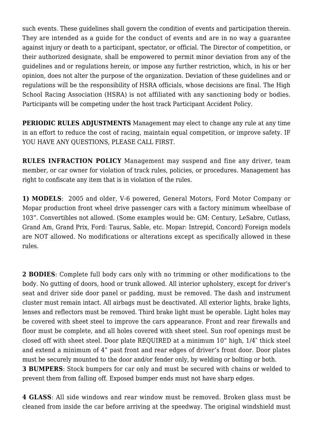such events. These guidelines shall govern the condition of events and participation therein. They are intended as a guide for the conduct of events and are in no way a guarantee against injury or death to a participant, spectator, or official. The Director of competition, or their authorized designate, shall be empowered to permit minor deviation from any of the guidelines and or regulations herein, or impose any further restriction, which, in his or her opinion, does not alter the purpose of the organization. Deviation of these guidelines and or regulations will be the responsibility of HSRA officials, whose decisions are final. The High School Racing Association (HSRA) is not affiliated with any sanctioning body or bodies. Participants will be competing under the host track Participant Accident Policy.

**PERIODIC RULES ADJUSTMENTS** Management may elect to change any rule at any time in an effort to reduce the cost of racing, maintain equal competition, or improve safety. IF YOU HAVE ANY QUESTIONS, PLEASE CALL FIRST.

**RULES INFRACTION POLICY** Management may suspend and fine any driver, team member, or car owner for violation of track rules, policies, or procedures. Management has right to confiscate any item that is in violation of the rules.

**1) MODELS**: 2005 and older, V-6 powered, General Motors, Ford Motor Company or Mopar production front wheel drive passenger cars with a factory minimum wheelbase of 103". Convertibles not allowed. (Some examples would be: GM: Century, LeSabre, Cutlass, Grand Am, Grand Prix, Ford: Taurus, Sable, etc. Mopar: Intrepid, Concord) Foreign models are NOT allowed. No modifications or alterations except as specifically allowed in these rules.

**2 BODIES**: Complete full body cars only with no trimming or other modifications to the body. No gutting of doors, hood or trunk allowed. All interior upholstery, except for driver's seat and driver side door panel or padding, must be removed. The dash and instrument cluster must remain intact. All airbags must be deactivated. All exterior lights, brake lights, lenses and reflectors must be removed. Third brake light must be operable. Light holes may be covered with sheet steel to improve the cars appearance. Front and rear firewalls and floor must be complete, and all holes covered with sheet steel. Sun roof openings must be closed off with sheet steel. Door plate REQUIRED at a minimum 10" high, 1/4″ thick steel and extend a minimum of 4" past front and rear edges of driver's front door. Door plates must be securely mounted to the door and/or fender only, by welding or bolting or both.

**3 BUMPERS**: Stock bumpers for car only and must be secured with chains or welded to prevent them from falling off. Exposed bumper ends must not have sharp edges.

**4 GLASS**: All side windows and rear window must be removed. Broken glass must be cleaned from inside the car before arriving at the speedway. The original windshield must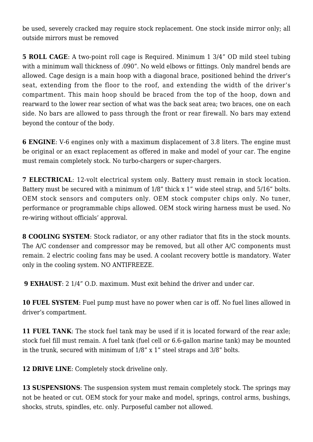be used, severely cracked may require stock replacement. One stock inside mirror only; all outside mirrors must be removed

**5 ROLL CAGE**: A two-point roll cage is Required. Minimum 1 3/4" OD mild steel tubing with a minimum wall thickness of .090". No weld elbows or fittings. Only mandrel bends are allowed. Cage design is a main hoop with a diagonal brace, positioned behind the driver's seat, extending from the floor to the roof, and extending the width of the driver's compartment. This main hoop should be braced from the top of the hoop, down and rearward to the lower rear section of what was the back seat area; two braces, one on each side. No bars are allowed to pass through the front or rear firewall. No bars may extend beyond the contour of the body.

**6 ENGINE**: V-6 engines only with a maximum displacement of 3.8 liters. The engine must be original or an exact replacement as offered in make and model of your car. The engine must remain completely stock. No turbo-chargers or super-chargers.

**7 ELECTRICAL**: 12-volt electrical system only. Battery must remain in stock location. Battery must be secured with a minimum of 1/8" thick x 1" wide steel strap, and 5/16" bolts. OEM stock sensors and computers only. OEM stock computer chips only. No tuner, performance or programmable chips allowed. OEM stock wiring harness must be used. No re-wiring without officials' approval.

**8 COOLING SYSTEM**: Stock radiator, or any other radiator that fits in the stock mounts. The A/C condenser and compressor may be removed, but all other A/C components must remain. 2 electric cooling fans may be used. A coolant recovery bottle is mandatory. Water only in the cooling system. NO ANTIFREEZE.

**9 EXHAUST**: 2 1/4" O.D. maximum. Must exit behind the driver and under car.

**10 FUEL SYSTEM**: Fuel pump must have no power when car is off. No fuel lines allowed in driver's compartment.

**11 FUEL TANK:** The stock fuel tank may be used if it is located forward of the rear axle; stock fuel fill must remain. A fuel tank (fuel cell or 6.6-gallon marine tank) may be mounted in the trunk, secured with minimum of 1/8" x 1" steel straps and 3/8" bolts.

**12 DRIVE LINE**: Completely stock driveline only.

**13 SUSPENSIONS:** The suspension system must remain completely stock. The springs may not be heated or cut. OEM stock for your make and model, springs, control arms, bushings, shocks, struts, spindles, etc. only. Purposeful camber not allowed.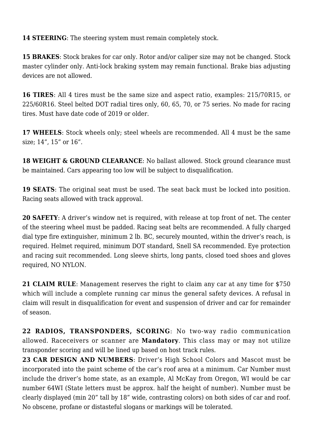**14 STEERING**: The steering system must remain completely stock.

**15 BRAKES**: Stock brakes for car only. Rotor and/or caliper size may not be changed. Stock master cylinder only. Anti-lock braking system may remain functional. Brake bias adjusting devices are not allowed.

**16 TIRES**: All 4 tires must be the same size and aspect ratio, examples: 215/70R15, or 225/60R16. Steel belted DOT radial tires only, 60, 65, 70, or 75 series. No made for racing tires. Must have date code of 2019 or older.

**17 WHEELS**: Stock wheels only; steel wheels are recommended. All 4 must be the same size; 14", 15" or 16".

**18 WEIGHT & GROUND CLEARANCE:** No ballast allowed. Stock ground clearance must be maintained. Cars appearing too low will be subject to disqualification.

**19 SEATS**: The original seat must be used. The seat back must be locked into position. Racing seats allowed with track approval.

**20 SAFETY**: A driver's window net is required, with release at top front of net. The center of the steering wheel must be padded. Racing seat belts are recommended. A fully charged dial type fire extinguisher, minimum 2 lb. BC, securely mounted, within the driver's reach, is required. Helmet required, minimum DOT standard, Snell SA recommended. Eye protection and racing suit recommended. Long sleeve shirts, long pants, closed toed shoes and gloves required, NO NYLON.

**21 CLAIM RULE**: Management reserves the right to claim any car at any time for \$750 which will include a complete running car minus the general safety devices. A refusal in claim will result in disqualification for event and suspension of driver and car for remainder of season.

**22 RADIOS, TRANSPONDERS, SCORING**: No two-way radio communication allowed. Raceceivers or scanner are **Mandatory**. This class may or may not utilize transponder scoring and will be lined up based on host track rules.

**23 CAR DESIGN AND NUMBERS**: Driver's High School Colors and Mascot must be incorporated into the paint scheme of the car's roof area at a minimum. Car Number must include the driver's home state, as an example, Al McKay from Oregon, WI would be car number 64WI (State letters must be approx. half the height of number). Number must be clearly displayed (min 20" tall by 18" wide, contrasting colors) on both sides of car and roof. No obscene, profane or distasteful slogans or markings will be tolerated.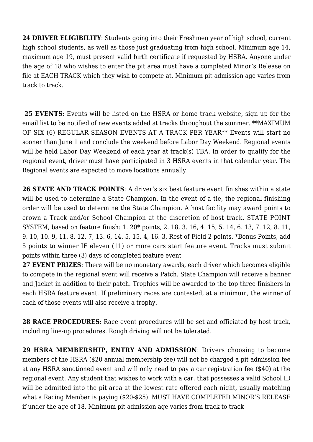**24 DRIVER ELIGIBILITY**: Students going into their Freshmen year of high school, current high school students, as well as those just graduating from high school. Minimum age 14, maximum age 19, must present valid birth certificate if requested by HSRA. Anyone under the age of 18 who wishes to enter the pit area must have a completed Minor's Release on file at EACH TRACK which they wish to compete at. Minimum pit admission age varies from track to track.

**25 EVENTS**: Events will be listed on the HSRA or home track website, sign up for the email list to be notified of new events added at tracks throughout the summer. \*\*MAXIMUM OF SIX (6) REGULAR SEASON EVENTS AT A TRACK PER YEAR\*\* Events will start no sooner than June 1 and conclude the weekend before Labor Day Weekend. Regional events will be held Labor Day Weekend of each year at track(s) TBA. In order to qualify for the regional event, driver must have participated in 3 HSRA events in that calendar year. The Regional events are expected to move locations annually.

**26 STATE AND TRACK POINTS**: A driver's six best feature event finishes within a state will be used to determine a State Champion. In the event of a tie, the regional finishing order will be used to determine the State Champion. A host facility may award points to crown a Track and/or School Champion at the discretion of host track. STATE POINT SYSTEM, based on feature finish: 1. 20\* points, 2. 18, 3. 16, 4. 15, 5. 14, 6. 13, 7. 12, 8. 11, 9. 10, 10. 9, 11. 8, 12. 7, 13. 6, 14. 5, 15. 4, 16. 3, Rest of Field 2 points. \*Bonus Points, add 5 points to winner IF eleven (11) or more cars start feature event. Tracks must submit points within three (3) days of completed feature event

**27 EVENT PRIZES**: There will be no monetary awards, each driver which becomes eligible to compete in the regional event will receive a Patch. State Champion will receive a banner and Jacket in addition to their patch. Trophies will be awarded to the top three finishers in each HSRA feature event. If preliminary races are contested, at a minimum, the winner of each of those events will also receive a trophy.

**28 RACE PROCEDURES**: Race event procedures will be set and officiated by host track, including line-up procedures. Rough driving will not be tolerated.

**29 HSRA MEMBERSHIP, ENTRY AND ADMISSION**: Drivers choosing to become members of the HSRA (\$20 annual membership fee) will not be charged a pit admission fee at any HSRA sanctioned event and will only need to pay a car registration fee (\$40) at the regional event. Any student that wishes to work with a car, that possesses a valid School ID will be admitted into the pit area at the lowest rate offered each night, usually matching what a Racing Member is paying (\$20-\$25). MUST HAVE COMPLETED MINOR'S RELEASE if under the age of 18. Minimum pit admission age varies from track to track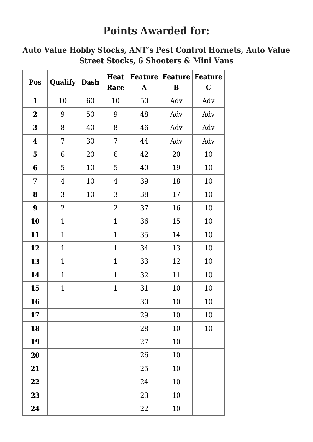# **Points Awarded for:**

# **Auto Value Hobby Stocks, ANT's Pest Control Hornets, Auto Value Street Stocks, 6 Shooters & Mini Vans**

| Pos                     | Qualify        | <b>Dash</b> | <b>Heat</b>    |           | <b>Feature   Feature   Feature</b> |         |
|-------------------------|----------------|-------------|----------------|-----------|------------------------------------|---------|
|                         |                |             | Race           | ${\bf A}$ | B                                  | $\bf C$ |
| $\mathbf{1}$            | 10             | 60          | 10             | 50        | Adv                                | Adv     |
| $\mathbf 2$             | 9              | 50          | 9              | 48        | Adv                                | Adv     |
| 3                       | 8              | 40          | 8              | 46        | Adv                                | Adv     |
| $\boldsymbol{4}$        | 7              | 30          | 7              | 44        | Adv                                | Adv     |
| $\overline{\mathbf{5}}$ | 6              | 20          | 6              | 42        | 20                                 | 10      |
| 6                       | 5              | 10          | 5              | 40        | 19                                 | 10      |
| 7                       | $\overline{4}$ | 10          | $\overline{4}$ | 39        | 18                                 | 10      |
| 8                       | 3              | 10          | 3              | 38        | 17                                 | 10      |
| $\boldsymbol{9}$        | $\overline{2}$ |             | $\overline{2}$ | 37        | 16                                 | 10      |
| 10                      | $\mathbf{1}$   |             | $\mathbf{1}$   | 36        | 15                                 | 10      |
| 11                      | $\mathbf{1}$   |             | $\mathbf{1}$   | 35        | 14                                 | 10      |
| 12                      | $\mathbf{1}$   |             | $\mathbf{1}$   | 34        | 13                                 | 10      |
| 13                      | $\mathbf{1}$   |             | $\mathbf{1}$   | 33        | 12                                 | 10      |
| 14                      | $\mathbf{1}$   |             | $\mathbf{1}$   | 32        | 11                                 | 10      |
| 15                      | $\mathbf{1}$   |             | $\mathbf{1}$   | 31        | 10                                 | 10      |
| 16                      |                |             |                | 30        | 10                                 | 10      |
| 17                      |                |             |                | 29        | $10\,$                             | 10      |
| 18                      |                |             |                | 28        | 10                                 | 10      |
| 19                      |                |             |                | 27        | 10                                 |         |
| 20                      |                |             |                | 26        | 10                                 |         |
| 21                      |                |             |                | 25        | 10                                 |         |
| 22                      |                |             |                | 24        | 10                                 |         |
| 23                      |                |             |                | 23        | 10                                 |         |
| 24                      |                |             |                | 22        | 10                                 |         |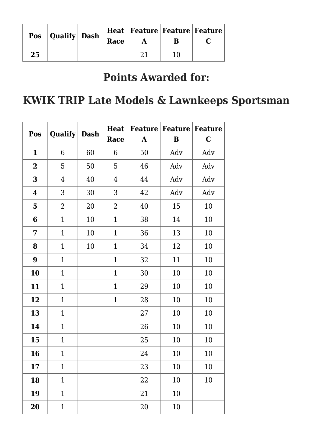|    | <b>Pos</b> Qualify Dash $\int$ | Race | Heat   Feature   Feature   Feature |  |
|----|--------------------------------|------|------------------------------------|--|
| 25 |                                |      |                                    |  |

# **Points Awarded for:**

# **KWIK TRIP Late Models & Lawnkeeps Sportsman**

| Pos                     | Qualify        | <b>Dash</b> | <b>Heat</b>    |              | <b>Feature   Feature   Feature  </b> |         |
|-------------------------|----------------|-------------|----------------|--------------|--------------------------------------|---------|
|                         |                |             | Race           | $\mathbf{A}$ | B                                    | $\bf C$ |
| $\mathbf{1}$            | 6              | 60          | 6              | 50           | Adv                                  | Adv     |
| $\overline{\mathbf{2}}$ | 5              | 50          | 5              | 46           | Adv                                  | Adv     |
| 3                       | 4              | 40          | $\overline{4}$ | 44           | Adv                                  | Adv     |
| $\boldsymbol{4}$        | 3              | 30          | 3              | 42           | Adv                                  | Adv     |
| $\overline{\mathbf{5}}$ | $\overline{2}$ | 20          | $\overline{2}$ | 40           | 15                                   | 10      |
| 6                       | $\mathbf{1}$   | 10          | $\mathbf{1}$   | 38           | 14                                   | 10      |
| 7                       | $\mathbf{1}$   | 10          | $\mathbf{1}$   | 36           | 13                                   | 10      |
| 8                       | $\mathbf{1}$   | 10          | $\mathbf{1}$   | 34           | 12                                   | 10      |
| $\boldsymbol{9}$        | $\mathbf{1}$   |             | $\mathbf{1}$   | 32           | 11                                   | 10      |
| 10                      | $\mathbf{1}$   |             | $\mathbf{1}$   | 30           | 10                                   | 10      |
| 11                      | $\mathbf{1}$   |             | $\mathbf{1}$   | 29           | 10                                   | 10      |
| 12                      | $\mathbf{1}$   |             | $\mathbf{1}$   | 28           | 10                                   | 10      |
| 13                      | $\mathbf{1}$   |             |                | 27           | 10                                   | 10      |
| 14                      | $\mathbf{1}$   |             |                | 26           | 10                                   | 10      |
| 15                      | $\mathbf{1}$   |             |                | 25           | 10                                   | 10      |
| 16                      | $\mathbf{1}$   |             |                | 24           | 10                                   | 10      |
| 17                      | $\mathbf{1}$   |             |                | 23           | 10                                   | 10      |
| 18                      | $\mathbf{1}$   |             |                | 22           | 10                                   | 10      |
| 19                      | $\mathbf{1}$   |             |                | 21           | 10                                   |         |
| 20                      | $\mathbf{1}$   |             |                | 20           | 10                                   |         |